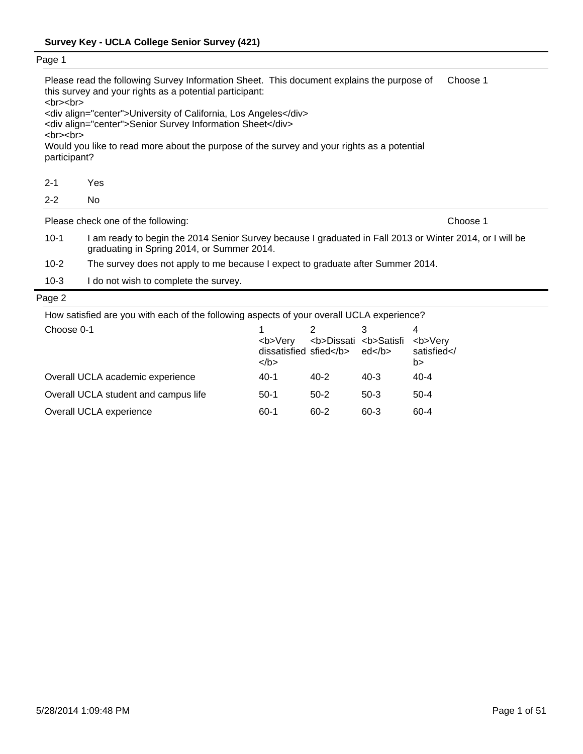| Page 1                                    |                                                                                                                                                        |          |
|-------------------------------------------|--------------------------------------------------------------------------------------------------------------------------------------------------------|----------|
| $<$ br $>$ $<$ br $>$                     | Please read the following Survey Information Sheet. This document explains the purpose of<br>this survey and your rights as a potential participant:   | Choose 1 |
|                                           | <div align="center">University of California, Los Angeles</div><br><div align="center">Senior Survey Information Sheet</div>                           |          |
| $\langle b r \rangle \langle b r \rangle$ |                                                                                                                                                        |          |
| participant?                              | Would you like to read more about the purpose of the survey and your rights as a potential                                                             |          |
| $2 - 1$                                   | Yes                                                                                                                                                    |          |
| $2 - 2$                                   | No.                                                                                                                                                    |          |
|                                           | Please check one of the following:                                                                                                                     | Choose 1 |
| $10-1$                                    | I am ready to begin the 2014 Senior Survey because I graduated in Fall 2013 or Winter 2014, or I will be<br>graduating in Spring 2014, or Summer 2014. |          |
| $10 - 2$                                  | The survey does not apply to me because I expect to graduate after Summer 2014.                                                                        |          |
| $10-3$                                    | do not wish to complete the survey.                                                                                                                    |          |

|  | How satisfied are you with each of the following aspects of your overall UCLA experience? |
|--|-------------------------------------------------------------------------------------------|
|  |                                                                                           |

| Choose 0-1                           | <b>Verv<br/>dissatisfied sfied</b><br>$<$ /b> | <b>Dissati <b>Satisfi</b></b> | ed       | <b>Very<br/>satisfied<!--<br-->b&gt;</b> |
|--------------------------------------|-----------------------------------------------|-------------------------------|----------|------------------------------------------|
| Overall UCLA academic experience     | $40-1$                                        | 40-2                          | $40 - 3$ | $40 - 4$                                 |
| Overall UCLA student and campus life | $50-1$                                        | $50-2$                        | $50-3$   | $50-4$                                   |
| Overall UCLA experience              | 60-1                                          | 60-2                          | $60 - 3$ | 60-4                                     |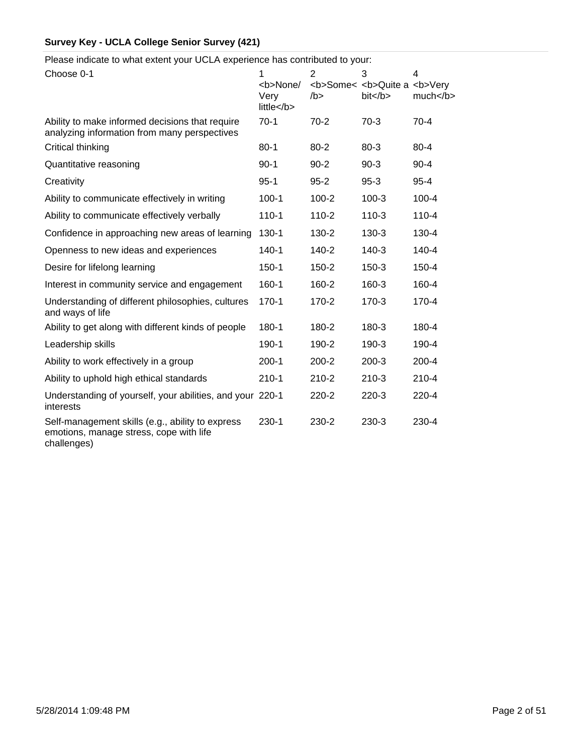Please indicate to what extent your UCLA experience has contributed to your:

| Choose 0-1                                                                                                 | 1<br><b>None/<br/>Very<br/>little</b> | 2<br>/b > | 3<br><b>Some&lt; <b>Quite a <b>Very<br/>bit <th>4<br/>much </th></b></b></b> | 4<br>much |
|------------------------------------------------------------------------------------------------------------|---------------------------------------|-----------|------------------------------------------------------------------------------|-----------|
| Ability to make informed decisions that require<br>analyzing information from many perspectives            | $70-1$                                | $70-2$    | $70-3$                                                                       | $70-4$    |
| Critical thinking                                                                                          | $80 - 1$                              | $80 - 2$  | $80 - 3$                                                                     | $80 - 4$  |
| Quantitative reasoning                                                                                     | $90-1$                                | $90 - 2$  | $90-3$                                                                       | $90 - 4$  |
| Creativity                                                                                                 | $95 - 1$                              | $95 - 2$  | $95 - 3$                                                                     | $95 - 4$  |
| Ability to communicate effectively in writing                                                              | $100 - 1$                             | $100 - 2$ | $100-3$                                                                      | $100 - 4$ |
| Ability to communicate effectively verbally                                                                | $110 - 1$                             | $110 - 2$ | $110-3$                                                                      | $110 - 4$ |
| Confidence in approaching new areas of learning                                                            | 130-1                                 | 130-2     | $130 - 3$                                                                    | 130-4     |
| Openness to new ideas and experiences                                                                      | $140 - 1$                             | $140 - 2$ | $140 - 3$                                                                    | $140 - 4$ |
| Desire for lifelong learning                                                                               | $150 - 1$                             | 150-2     | $150-3$                                                                      | 150-4     |
| Interest in community service and engagement                                                               | 160-1                                 | 160-2     | 160-3                                                                        | 160-4     |
| Understanding of different philosophies, cultures<br>and ways of life                                      | $170 - 1$                             | 170-2     | $170-3$                                                                      | 170-4     |
| Ability to get along with different kinds of people                                                        | $180 - 1$                             | 180-2     | 180-3                                                                        | 180-4     |
| Leadership skills                                                                                          | 190-1                                 | 190-2     | 190-3                                                                        | 190-4     |
| Ability to work effectively in a group                                                                     | $200-1$                               | $200 - 2$ | $200 - 3$                                                                    | 200-4     |
| Ability to uphold high ethical standards                                                                   | $210 - 1$                             | $210 - 2$ | $210-3$                                                                      | $210 - 4$ |
| Understanding of yourself, your abilities, and your 220-1<br>interests                                     |                                       | $220 - 2$ | $220-3$                                                                      | 220-4     |
| Self-management skills (e.g., ability to express<br>emotions, manage stress, cope with life<br>challenges) | 230-1                                 | 230-2     | 230-3                                                                        | 230-4     |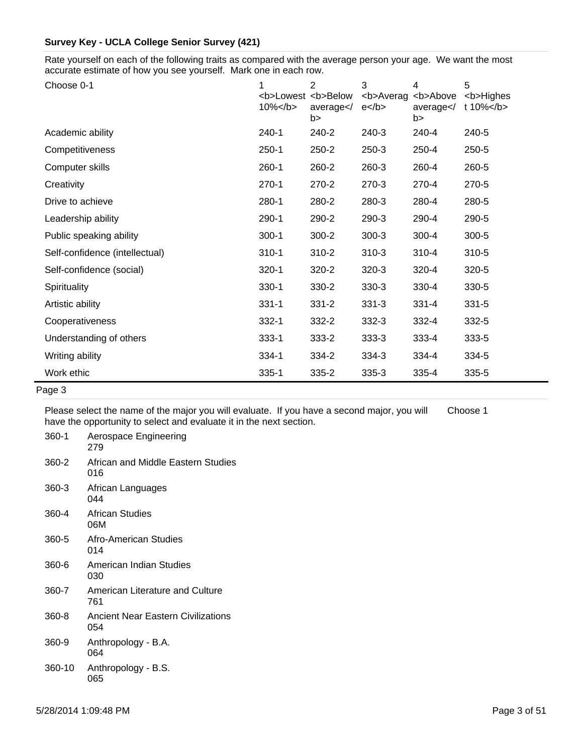Rate yourself on each of the following traits as compared with the average person your age. We want the most accurate estimate of how you see yourself. Mark one in each row.

| Choose 0-1                     | <b>Lowest <b>Below<br/><math>10\%</math> </b></b> | 2<br>average<br>b> | 3<br><b>Averag<br/><math>e</math> </b> | 4<br><b>Above<br/>average<br/>b&gt;</b> | 5<br><b>Highes<br/>t 10% </b> |
|--------------------------------|---------------------------------------------------|--------------------|----------------------------------------|-----------------------------------------|-------------------------------|
| Academic ability               | $240 - 1$                                         | 240-2              | 240-3                                  | 240-4                                   | 240-5                         |
| Competitiveness                | $250-1$                                           | 250-2              | 250-3                                  | 250-4                                   | 250-5                         |
| Computer skills                | $260-1$                                           | 260-2              | 260-3                                  | 260-4                                   | 260-5                         |
| Creativity                     | $270-1$                                           | 270-2              | 270-3                                  | 270-4                                   | 270-5                         |
| Drive to achieve               | 280-1                                             | 280-2              | 280-3                                  | 280-4                                   | 280-5                         |
| Leadership ability             | 290-1                                             | 290-2              | 290-3                                  | 290-4                                   | 290-5                         |
| Public speaking ability        | $300-1$                                           | $300 - 2$          | $300-3$                                | 300-4                                   | 300-5                         |
| Self-confidence (intellectual) | $310 - 1$                                         | $310 - 2$          | $310-3$                                | 310-4                                   | $310 - 5$                     |
| Self-confidence (social)       | $320 - 1$                                         | 320-2              | $320-3$                                | 320-4                                   | 320-5                         |
| Spirituality                   | $330-1$                                           | 330-2              | 330-3                                  | 330-4                                   | 330-5                         |
| Artistic ability               | $331 - 1$                                         | $331 - 2$          | $331 - 3$                              | $331 - 4$                               | $331 - 5$                     |
| Cooperativeness                | $332 - 1$                                         | 332-2              | $332 - 3$                              | 332-4                                   | 332-5                         |
| Understanding of others        | $333 - 1$                                         | 333-2              | $333 - 3$                              | $333 - 4$                               | 333-5                         |
| Writing ability                | 334-1                                             | 334-2              | 334-3                                  | 334-4                                   | 334-5                         |
| Work ethic                     | $335 - 1$                                         | 335-2              | 335-3                                  | 335-4                                   | 335-5                         |

Page 3

Please select the name of the major you will evaluate. If you have a second major, you will have the opportunity to select and evaluate it in the next section. Choose 1

| 360-1  | Aerospace Engineering<br>279              |
|--------|-------------------------------------------|
| 360-2  | African and Middle Eastern Studies<br>016 |
| 360-3  | African Languages<br>044                  |
| 360-4  | African Studies<br>06M                    |
| 360-5  | Afro-American Studies<br>014              |
| 360-6  | American Indian Studies<br>030            |
| 360-7  | American Literature and Culture<br>761    |
| 360-8  | Ancient Near Eastern Civilizations<br>054 |
| 360-9  | Anthropology - B.A.<br>064                |
| 360-10 | Anthropology - B.S.                       |

065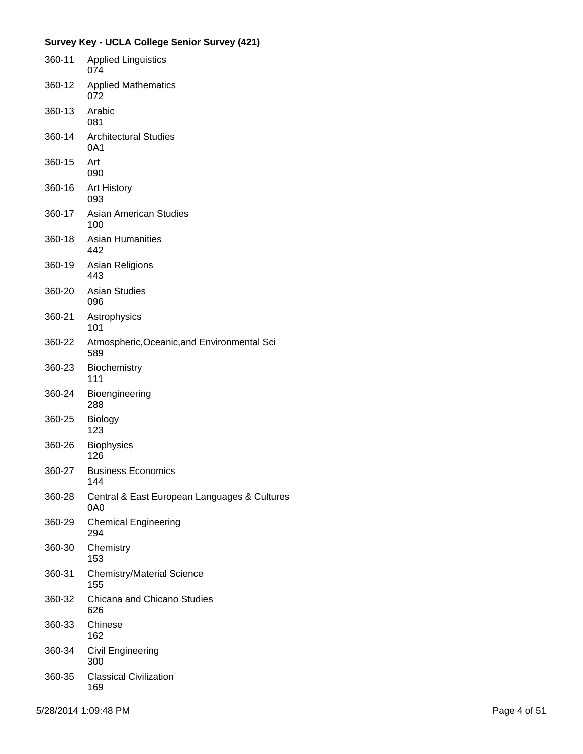| 360-11 | <b>Applied Linguistics</b><br>074                   |
|--------|-----------------------------------------------------|
| 360-12 | <b>Applied Mathematics</b><br>072                   |
| 360-13 | Arabic<br>081                                       |
| 360-14 | <b>Architectural Studies</b><br>0A1                 |
| 360-15 | Art<br>090                                          |
| 360-16 | <b>Art History</b><br>093                           |
| 360-17 | <b>Asian American Studies</b><br>100                |
| 360-18 | <b>Asian Humanities</b><br>442                      |
| 360-19 | Asian Religions<br>443                              |
| 360-20 | <b>Asian Studies</b><br>096                         |
| 360-21 | Astrophysics<br>101                                 |
| 360-22 | Atmospheric, Oceanic, and Environmental Sci<br>589  |
| 360-23 | Biochemistry<br>111                                 |
| 360-24 | Bioengineering<br>288                               |
| 360-25 | <b>Biology</b><br>123                               |
| 360-26 | <b>Biophysics</b><br>126                            |
| 360-27 | Business Economics<br>144                           |
| 360-28 | Central & East European Languages & Cultures<br>0A0 |
| 360-29 | <b>Chemical Engineering</b><br>294                  |
| 360-30 | Chemistry<br>153                                    |
| 360-31 | <b>Chemistry/Material Science</b><br>155            |
| 360-32 | Chicana and Chicano Studies<br>626                  |
| 360-33 | Chinese<br>162                                      |
| 360-34 | <b>Civil Engineering</b><br>300                     |
| 360-35 | <b>Classical Civilization</b><br>169                |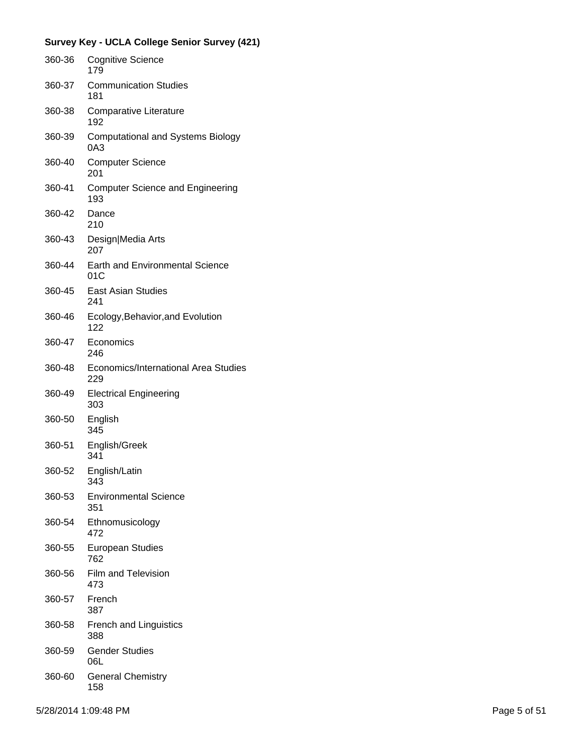| 360-36 | <b>Cognitive Science</b><br>179                 |
|--------|-------------------------------------------------|
| 360-37 | <b>Communication Studies</b><br>181             |
| 360-38 | Comparative Literature<br>192                   |
| 360-39 | <b>Computational and Systems Biology</b><br>0A3 |
| 360-40 | <b>Computer Science</b><br>201                  |
| 360-41 | <b>Computer Science and Engineering</b><br>193  |
| 360-42 | Dance<br>210                                    |
| 360-43 | Design Media Arts<br>207                        |
| 360-44 | <b>Earth and Environmental Science</b><br>01C   |
| 360-45 | <b>East Asian Studies</b><br>241                |
| 360-46 | Ecology, Behavior, and Evolution<br>122         |
| 360-47 | Economics<br>246                                |
| 360-48 | Economics/International Area Studies<br>229     |
| 360-49 | <b>Electrical Engineering</b><br>303            |
| 360-50 | English<br>345                                  |
| 360-51 | English/Greek<br>341                            |
| 360-52 | English/Latin<br>343                            |
| 360-53 | <b>Environmental Science</b><br>351             |
| 360-54 | Ethnomusicology<br>472                          |
| 360-55 | <b>European Studies</b><br>762                  |
| 360-56 | <b>Film and Television</b><br>473               |
| 360-57 | French<br>387                                   |
| 360-58 | <b>French and Linguistics</b><br>388            |
| 360-59 | <b>Gender Studies</b><br>06L                    |
| 360-60 | <b>General Chemistry</b><br>158                 |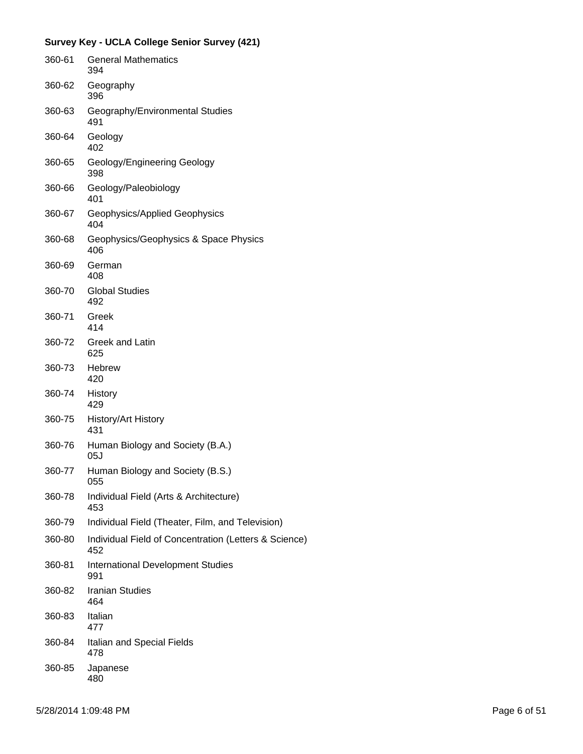|        | <b>Survey Key - UCLA College Senior Survey (421)</b>         |
|--------|--------------------------------------------------------------|
| 360-61 | <b>General Mathematics</b><br>394                            |
| 360-62 | Geography<br>396                                             |
| 360-63 | Geography/Environmental Studies<br>491                       |
| 360-64 | Geology<br>402                                               |
| 360-65 | Geology/Engineering Geology<br>398                           |
| 360-66 | Geology/Paleobiology<br>401                                  |
| 360-67 | Geophysics/Applied Geophysics<br>404                         |
| 360-68 | Geophysics/Geophysics & Space Physics<br>406                 |
| 360-69 | German<br>408                                                |
| 360-70 | <b>Global Studies</b><br>492                                 |
| 360-71 | Greek<br>414                                                 |
| 360-72 | Greek and Latin<br>625                                       |
| 360-73 | <b>Hebrew</b><br>420                                         |
| 360-74 | History<br>429                                               |
| 360-75 | History/Art History<br>431                                   |
| 360-76 | Human Biology and Society (B.A.)<br>05J                      |
| 360-77 | Human Biology and Society (B.S.)<br>055                      |
| 360-78 | Individual Field (Arts & Architecture)<br>453                |
| 360-79 | Individual Field (Theater, Film, and Television)             |
| 360-80 | Individual Field of Concentration (Letters & Science)<br>452 |
| 360-81 | <b>International Development Studies</b><br>991              |
| 360-82 | <b>Iranian Studies</b><br>464                                |
| 360-83 | Italian<br>477                                               |
| 360-84 | Italian and Special Fields<br>478                            |
| 360-85 | Japanese<br>480                                              |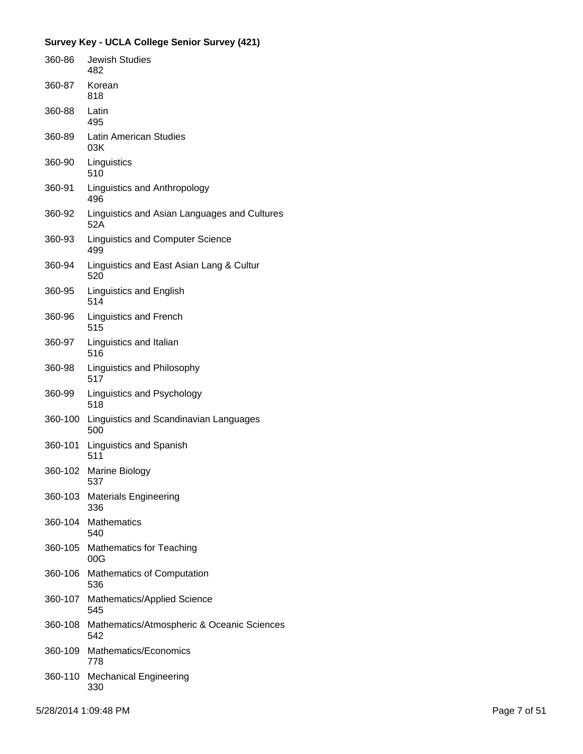| 360-86  | <b>Jewish Studies</b><br>482                        |
|---------|-----------------------------------------------------|
| 360-87  | Korean<br>818                                       |
| 360-88  | Latin<br>495                                        |
| 360-89  | <b>Latin American Studies</b><br>03K                |
| 360-90  | Linguistics<br>510                                  |
| 360-91  | Linguistics and Anthropology<br>496                 |
| 360-92  | Linguistics and Asian Languages and Cultures<br>52A |
| 360-93  | <b>Linguistics and Computer Science</b><br>499      |
| 360-94  | Linguistics and East Asian Lang & Cultur<br>520     |
| 360-95  | Linguistics and English<br>514                      |
| 360-96  | <b>Linguistics and French</b><br>515                |
| 360-97  | Linguistics and Italian<br>516                      |
| 360-98  | Linguistics and Philosophy<br>517                   |
| 360-99  | Linguistics and Psychology<br>518                   |
| 360-100 | Linguistics and Scandinavian Languages<br>500       |
| 360-101 | Linguistics and Spanish<br>511                      |
| 360-102 | Marine Biology<br>537                               |
|         | 360-103 Materials Engineering<br>336                |
| 360-104 | <b>Mathematics</b><br>540                           |
| 360-105 | <b>Mathematics for Teaching</b><br>00G              |
| 360-106 | <b>Mathematics of Computation</b><br>536            |
| 360-107 | Mathematics/Applied Science<br>545                  |
| 360-108 | Mathematics/Atmospheric & Oceanic Sciences<br>542   |
| 360-109 | Mathematics/Economics<br>778                        |
| 360-110 | <b>Mechanical Engineering</b><br>330                |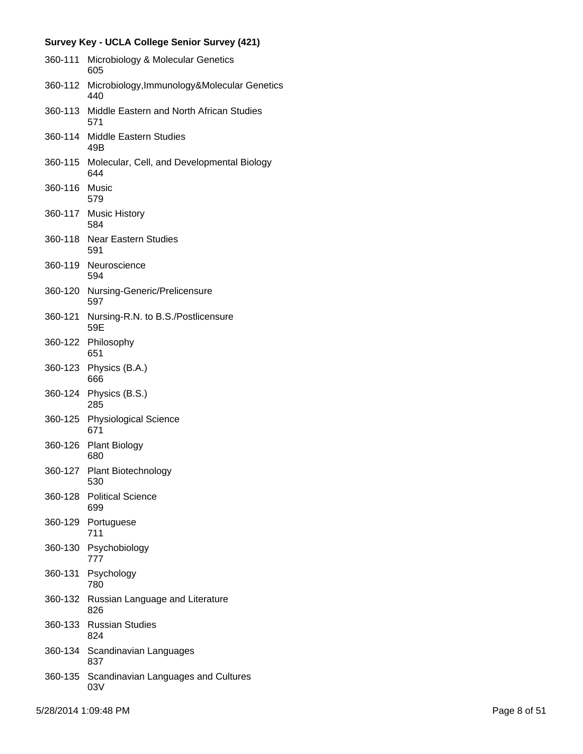| 360-111 | Microbiology & Molecular Genetics<br>605           |
|---------|----------------------------------------------------|
| 360-112 | Microbiology, Immunology&Molecular Genetics<br>440 |
| 360-113 | Middle Eastern and North African Studies<br>571    |
| 360-114 | <b>Middle Eastern Studies</b><br>49B               |
| 360-115 | Molecular, Cell, and Developmental Biology<br>644  |
| 360-116 | Music<br>579                                       |
|         | 360-117 Music History<br>584                       |
|         | 360-118 Near Eastern Studies<br>591                |
| 360-119 | Neuroscience<br>594                                |
| 360-120 | Nursing-Generic/Prelicensure<br>597                |
| 360-121 | Nursing-R.N. to B.S./Postlicensure<br>59E          |
|         | 360-122 Philosophy<br>651                          |
| 360-123 | Physics (B.A.)<br>666                              |
| 360-124 | Physics (B.S.)<br>285                              |
| 360-125 | <b>Physiological Science</b><br>671                |
| 360-126 | <b>Plant Biology</b><br>680                        |
|         | 360-127 Plant Biotechnology<br>530                 |
|         | 360-128 Political Science<br>699                   |
| 360-129 | Portuguese<br>711                                  |
| 360-130 | Psychobiology<br>777                               |
| 360-131 | Psychology<br>780                                  |
|         | 360-132 Russian Language and Literature<br>826     |
| 360-133 | <b>Russian Studies</b><br>824                      |
| 360-134 | Scandinavian Languages<br>837                      |
| 360-135 | Scandinavian Languages and Cultures<br>03V         |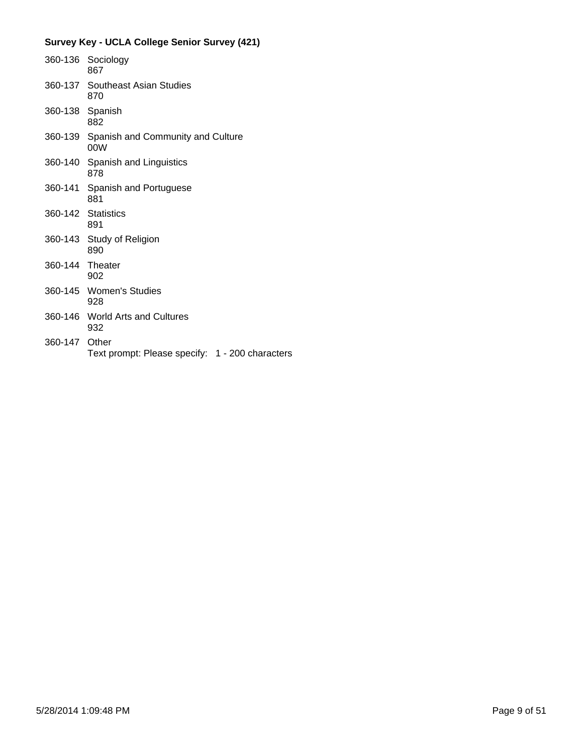|                 | 360-136 Sociology<br>867                         |
|-----------------|--------------------------------------------------|
|                 | 360-137 Southeast Asian Studies<br>870           |
| 360-138 Spanish | 882                                              |
|                 | 360-139 Spanish and Community and Culture<br>00W |
|                 | 360-140 Spanish and Linguistics<br>878           |
|                 | 360-141 Spanish and Portuguese<br>881            |
|                 | 360-142 Statistics<br>891                        |
|                 | 360-143 Study of Religion<br>890                 |
| 360-144 Theater | 902                                              |
|                 | 360-145 Women's Studies<br>928                   |
|                 | 360-146 World Arts and Cultures<br>932           |
| 360-147 Other   | Text prompt: Please specify: 1 - 200 characters  |
|                 |                                                  |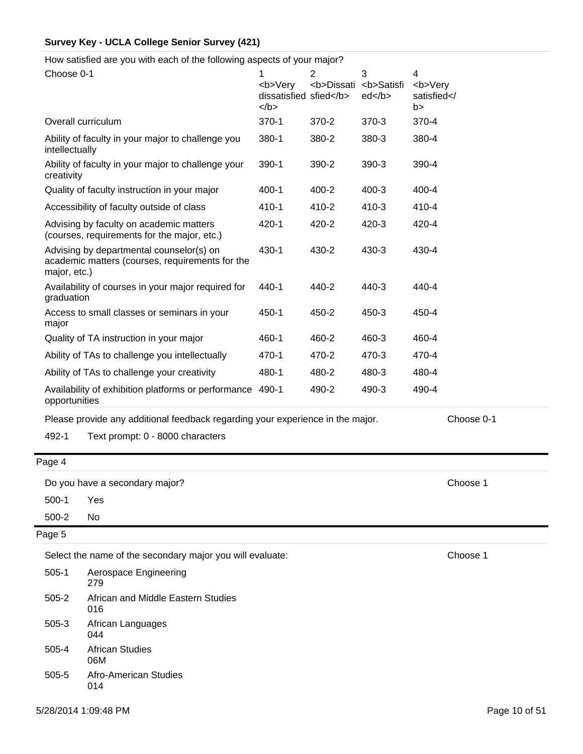How satisfied are you with each of the following aspects of your major?

| Choose 0-1                                                                                                  | 1<br><b>Very<br/>dissatisfied sfied</b><br>$<$ /b> | $\overline{2}$<br><b>Dissati</b> | 3<br><b>Satisfi<br/>ed </b> | $\overline{\mathbf{4}}$<br><b>Very<br/>satisfied<!--<br-->b &gt;</b> |
|-------------------------------------------------------------------------------------------------------------|----------------------------------------------------|----------------------------------|-----------------------------|----------------------------------------------------------------------|
| Overall curriculum                                                                                          | 370-1                                              | 370-2                            | 370-3                       | 370-4                                                                |
| Ability of faculty in your major to challenge you<br>intellectually                                         | 380-1                                              | 380-2                            | 380-3                       | 380-4                                                                |
| Ability of faculty in your major to challenge your<br>creativity                                            | 390-1                                              | 390-2                            | 390-3                       | 390-4                                                                |
| Quality of faculty instruction in your major                                                                | $400 - 1$                                          | 400-2                            | $400 - 3$                   | 400-4                                                                |
| Accessibility of faculty outside of class                                                                   | 410-1                                              | 410-2                            | 410-3                       | 410-4                                                                |
| Advising by faculty on academic matters<br>(courses, requirements for the major, etc.)                      | 420-1                                              | 420-2                            | 420-3                       | 420-4                                                                |
| Advising by departmental counselor(s) on<br>academic matters (courses, requirements for the<br>major, etc.) | 430-1                                              | 430-2                            | 430-3                       | 430-4                                                                |
| Availability of courses in your major required for<br>graduation                                            | 440-1                                              | 440-2                            | 440-3                       | 440-4                                                                |
| Access to small classes or seminars in your<br>major                                                        | 450-1                                              | 450-2                            | 450-3                       | 450-4                                                                |
| Quality of TA instruction in your major                                                                     | 460-1                                              | 460-2                            | 460-3                       | 460-4                                                                |
| Ability of TAs to challenge you intellectually                                                              | 470-1                                              | 470-2                            | 470-3                       | 470-4                                                                |
| Ability of TAs to challenge your creativity                                                                 | 480-1                                              | 480-2                            | 480-3                       | 480-4                                                                |
| Availability of exhibition platforms or performance<br>opportunities                                        | 490-1                                              | 490-2                            | 490-3                       | 490-4                                                                |
| Please provide any additional feedback regarding your experience in the major.                              |                                                    |                                  |                             | Choose 0-1                                                           |

492-1 Text prompt: 0 - 8000 characters

## Page 4

Do you have a secondary major? Choose 1

500-1 Yes

500-2 No

#### Page 5

Select the name of the secondary major you will evaluate: Choose 1

| $505-1$ | Aerospace Engineering<br>279              |
|---------|-------------------------------------------|
| $505-2$ | African and Middle Eastern Studies<br>016 |
| 505-3   | African Languages<br>044                  |
| 505-4   | <b>African Studies</b><br>06M             |
| 505-5   | Afro-American Studies<br>014              |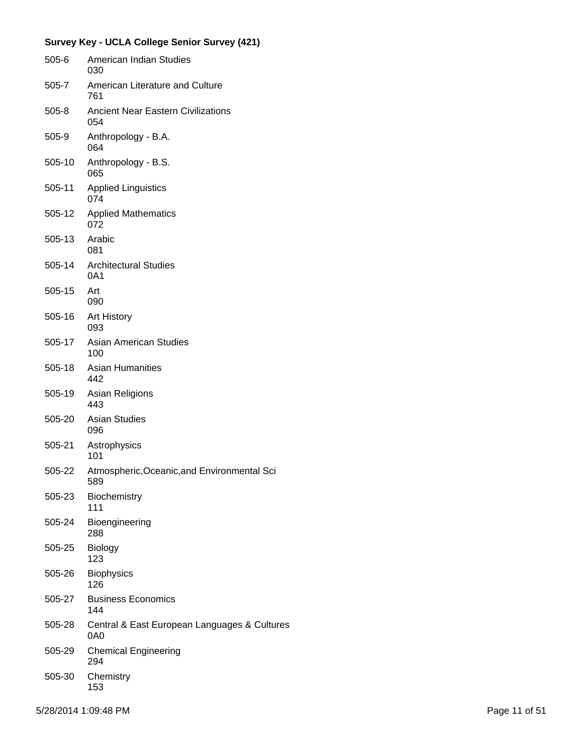|           | Survey Key - UCLA College Senior Survey (421)       |
|-----------|-----------------------------------------------------|
| $505 - 6$ | American Indian Studies<br>030                      |
| 505-7     | American Literature and Culture<br>761              |
| $505 - 8$ | <b>Ancient Near Eastern Civilizations</b><br>054    |
| 505-9     | Anthropology - B.A.<br>064                          |
| 505-10    | Anthropology - B.S.<br>065                          |
| 505-11    | <b>Applied Linguistics</b><br>074                   |
| 505-12    | <b>Applied Mathematics</b><br>072                   |
| 505-13    | Arabic<br>081                                       |
| 505-14    | <b>Architectural Studies</b><br>0A1                 |
| 505-15    | Art<br>090                                          |
| 505-16    | <b>Art History</b><br>093                           |
| 505-17    | Asian American Studies<br>100                       |
| 505-18    | <b>Asian Humanities</b><br>442                      |
| 505-19    | Asian Religions<br>443                              |
| 505-20    | <b>Asian Studies</b><br>096                         |
| 505-21    | Astrophysics<br>101                                 |
| 505-22    | Atmospheric, Oceanic, and Environmental Sci<br>589  |
| 505-23    | <b>Biochemistry</b><br>111                          |
| 505-24    | Bioengineering<br>288                               |
| 505-25    | Biology<br>123                                      |
| 505-26    | <b>Biophysics</b><br>126                            |
| 505-27    | <b>Business Economics</b><br>144                    |
| 505-28    | Central & East European Languages & Cultures<br>0A0 |
| 505-29    | <b>Chemical Engineering</b><br>294                  |
| 505-30    | Chemistry<br>153                                    |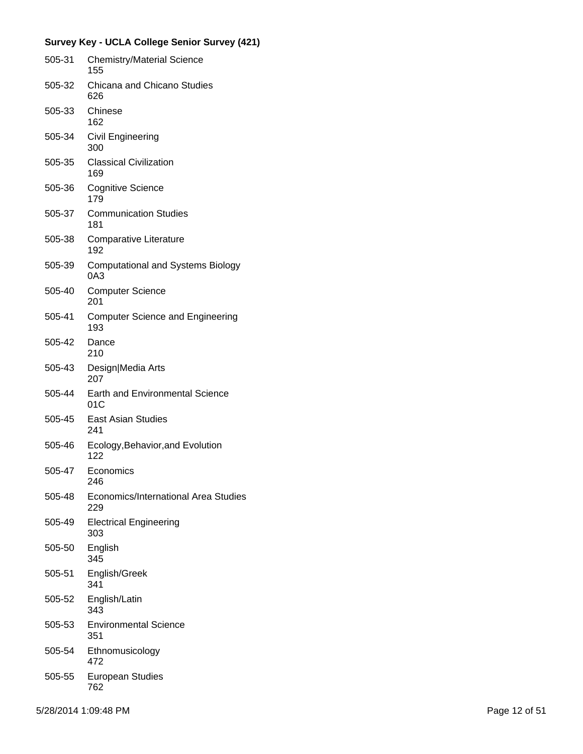| 505-31 | <b>Chemistry/Material Science</b><br>155        |
|--------|-------------------------------------------------|
| 505-32 | Chicana and Chicano Studies<br>626              |
| 505-33 | Chinese<br>162                                  |
| 505-34 | Civil Engineering<br>300                        |
| 505-35 | <b>Classical Civilization</b><br>169            |
| 505-36 | <b>Cognitive Science</b><br>179                 |
| 505-37 | <b>Communication Studies</b><br>181             |
| 505-38 | <b>Comparative Literature</b><br>192            |
| 505-39 | <b>Computational and Systems Biology</b><br>0A3 |
| 505-40 | <b>Computer Science</b><br>201                  |
| 505-41 | <b>Computer Science and Engineering</b><br>193  |
| 505-42 | Dance<br>210                                    |
| 505-43 | Design Media Arts<br>207                        |
| 505-44 | <b>Earth and Environmental Science</b><br>01C   |
| 505-45 | <b>East Asian Studies</b><br>241                |
| 505-46 | Ecology, Behavior, and Evolution<br>122         |
| 505-47 | Economics<br>246                                |
| 505-48 | Economics/International Area Studies<br>229     |
| 505-49 | <b>Electrical Engineering</b><br>303            |
| 505-50 | English<br>345                                  |
| 505-51 | English/Greek<br>341                            |
| 505-52 | English/Latin<br>343                            |
| 505-53 | <b>Environmental Science</b><br>351             |
| 505-54 | Ethnomusicology<br>472                          |
| 505-55 | European Studies<br>762                         |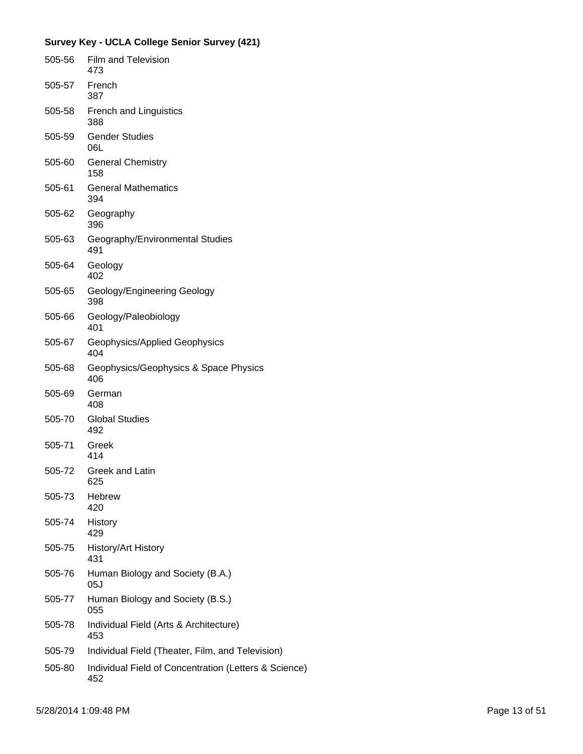| 505-56 | Film and Television<br>473                                   |
|--------|--------------------------------------------------------------|
| 505-57 | French<br>387                                                |
| 505-58 | <b>French and Linguistics</b><br>388                         |
| 505-59 | <b>Gender Studies</b><br>06L                                 |
| 505-60 | <b>General Chemistry</b><br>158                              |
| 505-61 | <b>General Mathematics</b><br>394                            |
| 505-62 | Geography<br>396                                             |
| 505-63 | Geography/Environmental Studies<br>491                       |
| 505-64 | Geology<br>402                                               |
| 505-65 | Geology/Engineering Geology<br>398                           |
| 505-66 | Geology/Paleobiology<br>401                                  |
| 505-67 | Geophysics/Applied Geophysics<br>404                         |
| 505-68 | Geophysics/Geophysics & Space Physics<br>406                 |
| 505-69 | German<br>408                                                |
| 505-70 | <b>Global Studies</b><br>492                                 |
| 505-71 | Greek<br>414                                                 |
| 505-72 | <b>Greek and Latin</b><br>625                                |
| 505-73 | <b>Hebrew</b><br>420                                         |
| 505-74 | History<br>429                                               |
| 505-75 | <b>History/Art History</b><br>431                            |
| 505-76 | Human Biology and Society (B.A.)<br>05J                      |
| 505-77 | Human Biology and Society (B.S.)<br>055                      |
| 505-78 | Individual Field (Arts & Architecture)<br>453                |
| 505-79 | Individual Field (Theater, Film, and Television)             |
| 505-80 | Individual Field of Concentration (Letters & Science)<br>452 |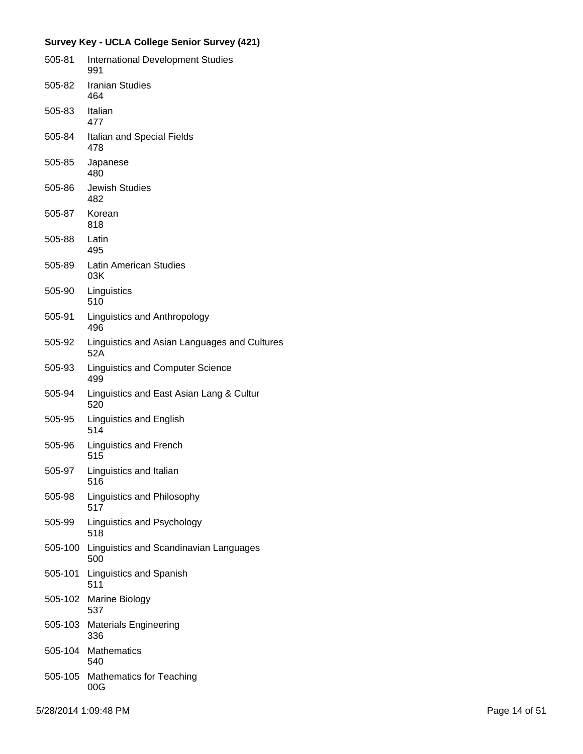| 505-81  | <b>International Development Studies</b><br>991     |
|---------|-----------------------------------------------------|
| 505-82  | <b>Iranian Studies</b><br>464                       |
| 505-83  | Italian<br>477                                      |
| 505-84  | Italian and Special Fields<br>478                   |
| 505-85  | Japanese<br>480                                     |
| 505-86  | <b>Jewish Studies</b><br>482                        |
| 505-87  | Korean<br>818                                       |
| 505-88  | Latin<br>495                                        |
| 505-89  | Latin American Studies<br>03K                       |
| 505-90  | Linguistics<br>510                                  |
| 505-91  | Linguistics and Anthropology<br>496                 |
| 505-92  | Linguistics and Asian Languages and Cultures<br>52A |
| 505-93  | <b>Linguistics and Computer Science</b><br>499      |
| 505-94  | Linguistics and East Asian Lang & Cultur<br>520     |
| 505-95  | Linguistics and English<br>514                      |
| 505-96  | <b>Linguistics and French</b><br>515                |
| 505-97  | Linguistics and Italian<br>516                      |
| 505-98  | Linguistics and Philosophy<br>517                   |
| 505-99  | Linguistics and Psychology<br>518                   |
| 505-100 | Linguistics and Scandinavian Languages<br>500       |
| 505-101 | <b>Linguistics and Spanish</b><br>511               |
| 505-102 | Marine Biology<br>537                               |
| 505-103 | <b>Materials Engineering</b><br>336                 |
| 505-104 | Mathematics<br>540                                  |
| 505-105 | <b>Mathematics for Teaching</b><br>00G              |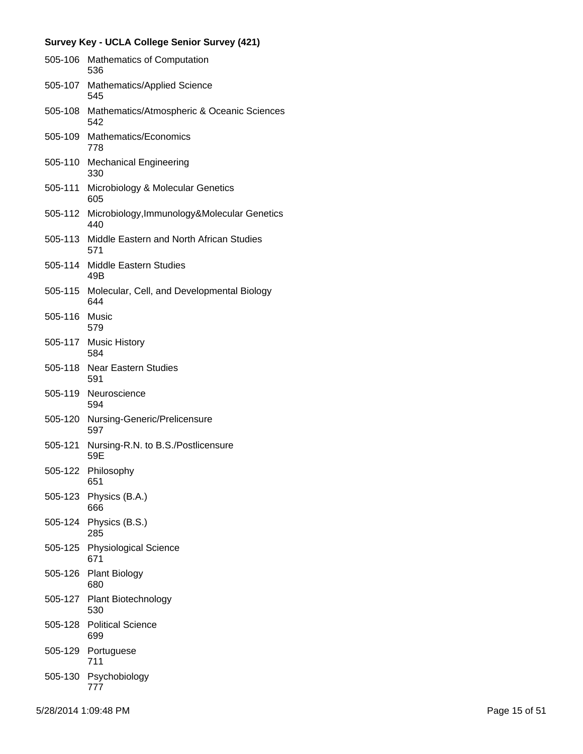| 505-106 | <b>Mathematics of Computation</b><br>536                |
|---------|---------------------------------------------------------|
| 505-107 | <b>Mathematics/Applied Science</b><br>545               |
| 505-108 | Mathematics/Atmospheric & Oceanic Sciences<br>542       |
|         | 505-109 Mathematics/Economics<br>778                    |
| 505-110 | <b>Mechanical Engineering</b><br>330                    |
| 505-111 | Microbiology & Molecular Genetics<br>605                |
| 505-112 | Microbiology, Immunology&Molecular Genetics<br>440      |
|         | 505-113 Middle Eastern and North African Studies<br>571 |
| 505-114 | Middle Eastern Studies<br>49B                           |
| 505-115 | Molecular, Cell, and Developmental Biology<br>644       |
| 505-116 | Music<br>579                                            |
|         | 505-117 Music History<br>584                            |
| 505-118 | <b>Near Eastern Studies</b><br>591                      |
| 505-119 | Neuroscience<br>594                                     |
| 505-120 | Nursing-Generic/Prelicensure<br>597                     |
| 505-121 | Nursing-R.N. to B.S./Postlicensure<br>59E               |
| 505-122 | Philosophy<br>651                                       |
|         | 505-123 Physics (B.A.)<br>666                           |
| 505-124 | Physics (B.S.)<br>285                                   |
| 505-125 | <b>Physiological Science</b><br>671                     |
| 505-126 | <b>Plant Biology</b><br>680                             |
|         | 505-127 Plant Biotechnology<br>530                      |
| 505-128 | <b>Political Science</b><br>699                         |
| 505-129 | Portuguese<br>711                                       |
| 505-130 | Psychobiology<br>777                                    |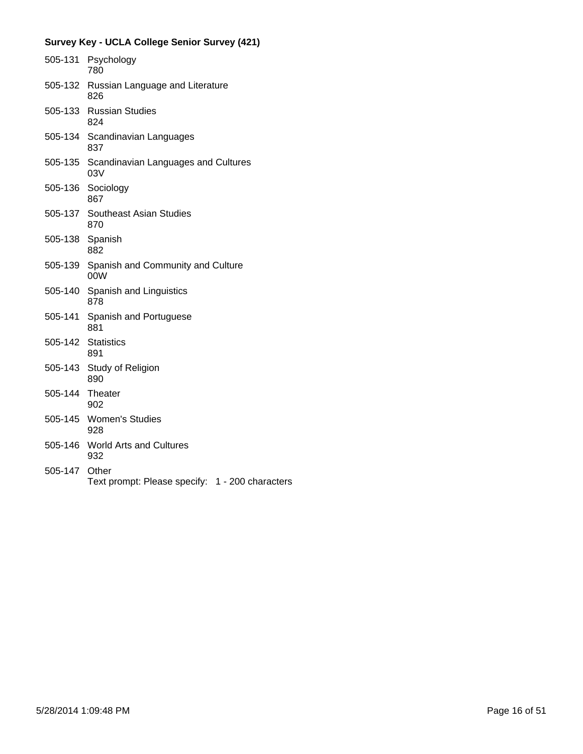|               | 505-131 Psychology<br>780                       |
|---------------|-------------------------------------------------|
| 505-132       | Russian Language and Literature<br>826          |
|               | 505-133 Russian Studies<br>824                  |
|               | 505-134 Scandinavian Languages<br>837           |
| 505-135       | Scandinavian Languages and Cultures<br>03V      |
| 505-136       | Sociology<br>867                                |
| 505-137       | <b>Southeast Asian Studies</b><br>870           |
| 505-138       | Spanish<br>882                                  |
| 505-139       | Spanish and Community and Culture<br>00W        |
| 505-140       | Spanish and Linguistics<br>878                  |
| 505-141       | Spanish and Portuguese<br>881                   |
| 505-142       | <b>Statistics</b><br>891                        |
| 505-143       | Study of Religion<br>890                        |
| 505-144       | Theater<br>902                                  |
|               | 505-145 Women's Studies<br>928                  |
| 505-146       | <b>World Arts and Cultures</b><br>932           |
| 505-147 Other | Text prompt: Please specify: 1 - 200 characters |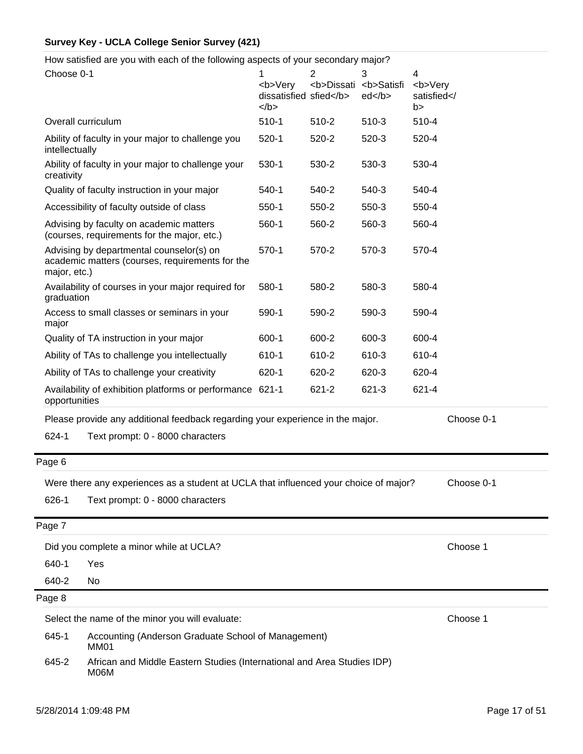How satisfied are you with each of the following aspects of your secondary major?

| Choose 0-1     |                                                                                             | 1<br><b>Very<br/>dissatisfied sfied</b><br>$<$ /b> | $\overline{2}$<br><b>Dissati <b>Satisfi</b></b> | 3<br>ed | 4<br><b>Very<br/>satisfied<!--<br-->b&gt;</b> |
|----------------|---------------------------------------------------------------------------------------------|----------------------------------------------------|-------------------------------------------------|---------|-----------------------------------------------|
|                | Overall curriculum                                                                          | $510-1$                                            | 510-2                                           | $510-3$ | 510-4                                         |
| intellectually | Ability of faculty in your major to challenge you                                           | $520-1$                                            | 520-2                                           | 520-3   | 520-4                                         |
| creativity     | Ability of faculty in your major to challenge your                                          | 530-1                                              | 530-2                                           | 530-3   | 530-4                                         |
|                | Quality of faculty instruction in your major                                                | 540-1                                              | 540-2                                           | 540-3   | 540-4                                         |
|                | Accessibility of faculty outside of class                                                   | $550-1$                                            | 550-2                                           | 550-3   | 550-4                                         |
|                | Advising by faculty on academic matters<br>(courses, requirements for the major, etc.)      | 560-1                                              | 560-2                                           | 560-3   | 560-4                                         |
| major, etc.)   | Advising by departmental counselor(s) on<br>academic matters (courses, requirements for the | 570-1                                              | 570-2                                           | 570-3   | 570-4                                         |
| graduation     | Availability of courses in your major required for                                          | 580-1                                              | 580-2                                           | 580-3   | 580-4                                         |
| major          | Access to small classes or seminars in your                                                 | 590-1                                              | 590-2                                           | 590-3   | 590-4                                         |
|                | Quality of TA instruction in your major                                                     | 600-1                                              | 600-2                                           | 600-3   | 600-4                                         |
|                | Ability of TAs to challenge you intellectually                                              | 610-1                                              | 610-2                                           | 610-3   | 610-4                                         |
|                | Ability of TAs to challenge your creativity                                                 | 620-1                                              | 620-2                                           | 620-3   | 620-4                                         |
| opportunities  | Availability of exhibition platforms or performance 621-1                                   |                                                    | 621-2                                           | 621-3   | 621-4                                         |
|                | Please provide any additional feedback regarding your experience in the major.              |                                                    |                                                 |         | Choose 0-1                                    |
| 624-1          | Text prompt: 0 - 8000 characters                                                            |                                                    |                                                 |         |                                               |
| Page 6         |                                                                                             |                                                    |                                                 |         |                                               |
|                | Were there any experiences as a student at UCLA that influenced your choice of major?       |                                                    |                                                 |         | Choose 0-1                                    |
| 626-1          | Text prompt: 0 - 8000 characters                                                            |                                                    |                                                 |         |                                               |
| Page 7         |                                                                                             |                                                    |                                                 |         |                                               |
|                | Did you complete a minor while at UCLA?                                                     |                                                    |                                                 |         | Choose 1                                      |
| 640-1          | Yes                                                                                         |                                                    |                                                 |         |                                               |
| 640-2          | No                                                                                          |                                                    |                                                 |         |                                               |
| Page 8         |                                                                                             |                                                    |                                                 |         |                                               |
|                | Select the name of the minor you will evaluate:                                             |                                                    |                                                 |         | Choose 1                                      |
| 645-1          | Accounting (Anderson Graduate School of Management)<br>MM01                                 |                                                    |                                                 |         |                                               |
| 645-2          | African and Middle Eastern Studies (International and Area Studies IDP)<br>M06M             |                                                    |                                                 |         |                                               |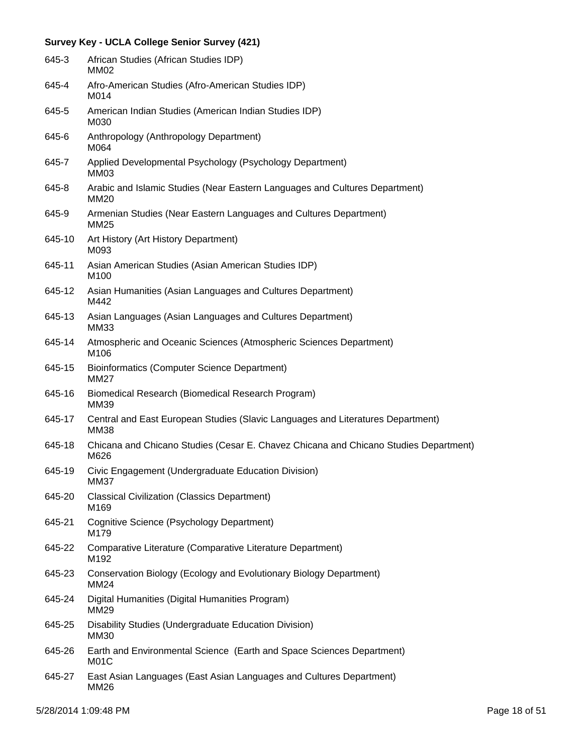| 645-3  | African Studies (African Studies IDP)<br>MM02                                                  |
|--------|------------------------------------------------------------------------------------------------|
| 645-4  | Afro-American Studies (Afro-American Studies IDP)<br>M014                                      |
| 645-5  | American Indian Studies (American Indian Studies IDP)<br>M030                                  |
| 645-6  | Anthropology (Anthropology Department)<br>M064                                                 |
| 645-7  | Applied Developmental Psychology (Psychology Department)<br>MM03                               |
| 645-8  | Arabic and Islamic Studies (Near Eastern Languages and Cultures Department)<br><b>MM20</b>     |
| 645-9  | Armenian Studies (Near Eastern Languages and Cultures Department)<br><b>MM25</b>               |
| 645-10 | Art History (Art History Department)<br>M093                                                   |
| 645-11 | Asian American Studies (Asian American Studies IDP)<br>M100                                    |
| 645-12 | Asian Humanities (Asian Languages and Cultures Department)<br>M442                             |
| 645-13 | Asian Languages (Asian Languages and Cultures Department)<br><b>MM33</b>                       |
| 645-14 | Atmospheric and Oceanic Sciences (Atmospheric Sciences Department)<br>M106                     |
| 645-15 | <b>Bioinformatics (Computer Science Department)</b><br>MM27                                    |
| 645-16 | Biomedical Research (Biomedical Research Program)<br>MM39                                      |
| 645-17 | Central and East European Studies (Slavic Languages and Literatures Department)<br><b>MM38</b> |
| 645-18 | Chicana and Chicano Studies (Cesar E. Chavez Chicana and Chicano Studies Department)<br>M626   |
| 645-19 | Civic Engagement (Undergraduate Education Division)<br><b>MM37</b>                             |
| 645-20 | <b>Classical Civilization (Classics Department)</b><br>M169                                    |
| 645-21 | Cognitive Science (Psychology Department)<br>M179                                              |
| 645-22 | Comparative Literature (Comparative Literature Department)<br>M192                             |
| 645-23 | Conservation Biology (Ecology and Evolutionary Biology Department)<br><b>MM24</b>              |
| 645-24 | Digital Humanities (Digital Humanities Program)<br>MM29                                        |
| 645-25 | Disability Studies (Undergraduate Education Division)<br><b>MM30</b>                           |
| 645-26 | Earth and Environmental Science (Earth and Space Sciences Department)<br>M01C                  |
| 645-27 | East Asian Languages (East Asian Languages and Cultures Department)<br><b>MM26</b>             |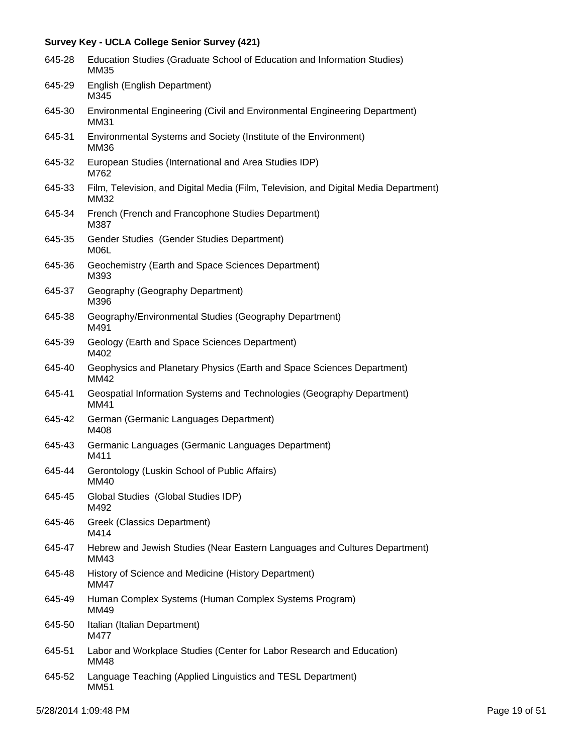| 645-28 | Education Studies (Graduate School of Education and Information Studies)<br>MM35             |
|--------|----------------------------------------------------------------------------------------------|
| 645-29 | English (English Department)<br>M345                                                         |
| 645-30 | Environmental Engineering (Civil and Environmental Engineering Department)<br><b>MM31</b>    |
| 645-31 | Environmental Systems and Society (Institute of the Environment)<br><b>MM36</b>              |
| 645-32 | European Studies (International and Area Studies IDP)<br>M762                                |
| 645-33 | Film, Television, and Digital Media (Film, Television, and Digital Media Department)<br>MM32 |
| 645-34 | French (French and Francophone Studies Department)<br>M387                                   |
| 645-35 | Gender Studies (Gender Studies Department)<br>M06L                                           |
| 645-36 | Geochemistry (Earth and Space Sciences Department)<br>M393                                   |
| 645-37 | Geography (Geography Department)<br>M396                                                     |
| 645-38 | Geography/Environmental Studies (Geography Department)<br>M491                               |
| 645-39 | Geology (Earth and Space Sciences Department)<br>M402                                        |
| 645-40 | Geophysics and Planetary Physics (Earth and Space Sciences Department)<br>MM42               |
| 645-41 | Geospatial Information Systems and Technologies (Geography Department)<br>MM41               |
| 645-42 | German (Germanic Languages Department)<br>M408                                               |
| 645-43 | Germanic Languages (Germanic Languages Department)<br>M411                                   |
| 645-44 | Gerontology (Luskin School of Public Affairs)<br>MM40                                        |
| 645-45 | Global Studies (Global Studies IDP)<br>M492                                                  |
| 645-46 | Greek (Classics Department)<br>M414                                                          |
| 645-47 | Hebrew and Jewish Studies (Near Eastern Languages and Cultures Department)<br>MM43           |
| 645-48 | History of Science and Medicine (History Department)<br><b>MM47</b>                          |
| 645-49 | Human Complex Systems (Human Complex Systems Program)<br>MM49                                |
| 645-50 | Italian (Italian Department)<br>M477                                                         |
| 645-51 | Labor and Workplace Studies (Center for Labor Research and Education)<br><b>MM48</b>         |
| 645-52 | Language Teaching (Applied Linguistics and TESL Department)<br><b>MM51</b>                   |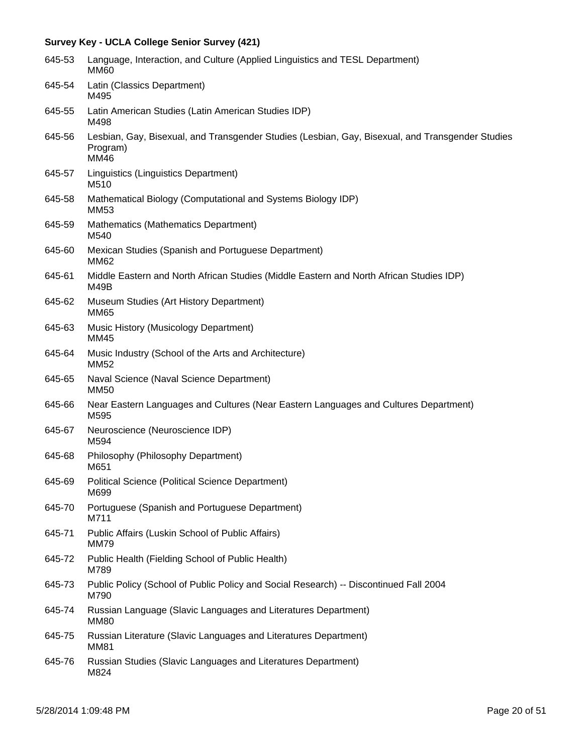| 645-53 | Language, Interaction, and Culture (Applied Linguistics and TESL Department)<br><b>MM60</b>                          |
|--------|----------------------------------------------------------------------------------------------------------------------|
| 645-54 | Latin (Classics Department)<br>M495                                                                                  |
| 645-55 | Latin American Studies (Latin American Studies IDP)<br>M498                                                          |
| 645-56 | Lesbian, Gay, Bisexual, and Transgender Studies (Lesbian, Gay, Bisexual, and Transgender Studies<br>Program)<br>MM46 |
| 645-57 | Linguistics (Linguistics Department)<br>M510                                                                         |
| 645-58 | Mathematical Biology (Computational and Systems Biology IDP)<br>MM53                                                 |
| 645-59 | Mathematics (Mathematics Department)<br>M540                                                                         |
| 645-60 | Mexican Studies (Spanish and Portuguese Department)<br><b>MM62</b>                                                   |
| 645-61 | Middle Eastern and North African Studies (Middle Eastern and North African Studies IDP)<br>M49B                      |
| 645-62 | Museum Studies (Art History Department)<br>MM65                                                                      |
| 645-63 | Music History (Musicology Department)<br>MM45                                                                        |
| 645-64 | Music Industry (School of the Arts and Architecture)<br><b>MM52</b>                                                  |
| 645-65 | Naval Science (Naval Science Department)<br><b>MM50</b>                                                              |
| 645-66 | Near Eastern Languages and Cultures (Near Eastern Languages and Cultures Department)<br>M595                         |
| 645-67 | Neuroscience (Neuroscience IDP)<br>M594                                                                              |
| 645-68 | Philosophy (Philosophy Department)<br>M651                                                                           |
| 645-69 | Political Science (Political Science Department)<br>M699                                                             |
| 645-70 | Portuguese (Spanish and Portuguese Department)<br>M711                                                               |
| 645-71 | Public Affairs (Luskin School of Public Affairs)<br><b>MM79</b>                                                      |
| 645-72 | Public Health (Fielding School of Public Health)<br>M789                                                             |
| 645-73 | Public Policy (School of Public Policy and Social Research) -- Discontinued Fall 2004<br>M790                        |
| 645-74 | Russian Language (Slavic Languages and Literatures Department)<br><b>MM80</b>                                        |
| 645-75 | Russian Literature (Slavic Languages and Literatures Department)<br><b>MM81</b>                                      |
| 645-76 | Russian Studies (Slavic Languages and Literatures Department)<br>M824                                                |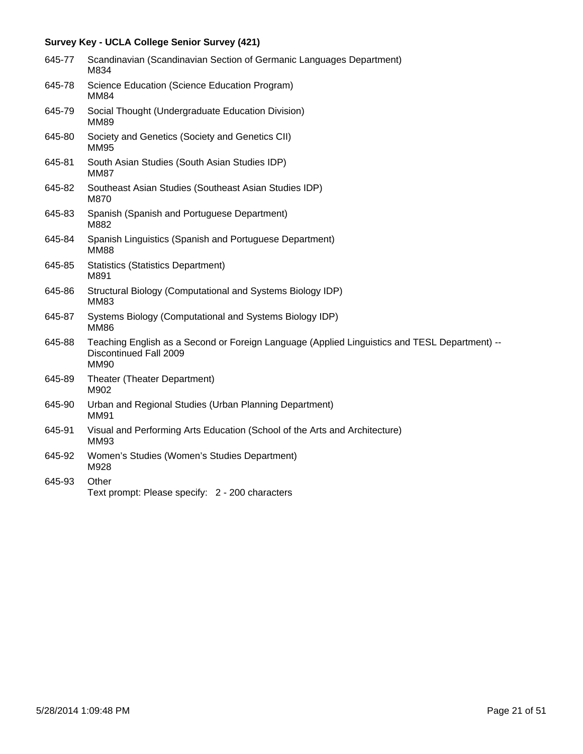| 645-77 | Scandinavian (Scandinavian Section of Germanic Languages Department)<br>M834                                                           |
|--------|----------------------------------------------------------------------------------------------------------------------------------------|
| 645-78 | Science Education (Science Education Program)<br><b>MM84</b>                                                                           |
| 645-79 | Social Thought (Undergraduate Education Division)<br><b>MM89</b>                                                                       |
| 645-80 | Society and Genetics (Society and Genetics CII)<br><b>MM95</b>                                                                         |
| 645-81 | South Asian Studies (South Asian Studies IDP)<br><b>MM87</b>                                                                           |
| 645-82 | Southeast Asian Studies (Southeast Asian Studies IDP)<br>M870                                                                          |
| 645-83 | Spanish (Spanish and Portuguese Department)<br>M882                                                                                    |
| 645-84 | Spanish Linguistics (Spanish and Portuguese Department)<br><b>MM88</b>                                                                 |
| 645-85 | <b>Statistics (Statistics Department)</b><br>M891                                                                                      |
| 645-86 | Structural Biology (Computational and Systems Biology IDP)<br><b>MM83</b>                                                              |
| 645-87 | Systems Biology (Computational and Systems Biology IDP)<br><b>MM86</b>                                                                 |
| 645-88 | Teaching English as a Second or Foreign Language (Applied Linguistics and TESL Department) --<br>Discontinued Fall 2009<br><b>MM90</b> |
| 645-89 | Theater (Theater Department)<br>M902                                                                                                   |
| 645-90 | Urban and Regional Studies (Urban Planning Department)<br><b>MM91</b>                                                                  |
| 645-91 | Visual and Performing Arts Education (School of the Arts and Architecture)<br><b>MM93</b>                                              |
| 645-92 | Women's Studies (Women's Studies Department)<br>M928                                                                                   |
| 645-93 | Other<br>Text prompt: Please specify: 2 - 200 characters                                                                               |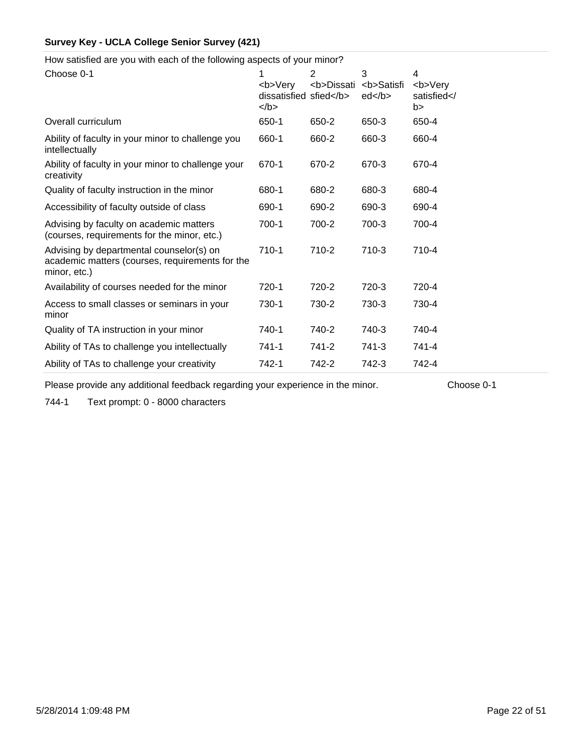How satisfied are you with each of the following aspects of your minor?

| Choose 0-1                                                                                                  | 1<br><b>Verv<br/>dissatisfied sfied</b><br>$<$ /b> | 2<br><b>Dissati</b> | 3<br><b>Satisfi<br/>ed </b> | 4<br><b>Very<br/>satisfied<!--<br-->b&gt;</b> |
|-------------------------------------------------------------------------------------------------------------|----------------------------------------------------|---------------------|-----------------------------|-----------------------------------------------|
| Overall curriculum                                                                                          | 650-1                                              | 650-2               | 650-3                       | 650-4                                         |
| Ability of faculty in your minor to challenge you<br>intellectually                                         | 660-1                                              | 660-2               | 660-3                       | 660-4                                         |
| Ability of faculty in your minor to challenge your<br>creativity                                            | 670-1                                              | 670-2               | 670-3                       | 670-4                                         |
| Quality of faculty instruction in the minor                                                                 | 680-1                                              | 680-2               | 680-3                       | 680-4                                         |
| Accessibility of faculty outside of class                                                                   | 690-1                                              | 690-2               | 690-3                       | 690-4                                         |
| Advising by faculty on academic matters<br>(courses, requirements for the minor, etc.)                      | 700-1                                              | 700-2               | 700-3                       | 700-4                                         |
| Advising by departmental counselor(s) on<br>academic matters (courses, requirements for the<br>minor, etc.) | 710-1                                              | 710-2               | $710-3$                     | 710-4                                         |
| Availability of courses needed for the minor                                                                | 720-1                                              | 720-2               | 720-3                       | 720-4                                         |
| Access to small classes or seminars in your<br>minor                                                        | 730-1                                              | 730-2               | 730-3                       | 730-4                                         |
| Quality of TA instruction in your minor                                                                     | 740-1                                              | 740-2               | 740-3                       | 740-4                                         |
| Ability of TAs to challenge you intellectually                                                              | 741-1                                              | 741-2               | 741-3                       | 741-4                                         |
| Ability of TAs to challenge your creativity                                                                 | 742-1                                              | 742-2               | 742-3                       | 742-4                                         |

Please provide any additional feedback regarding your experience in the minor. Choose 0-1

744-1 Text prompt: 0 - 8000 characters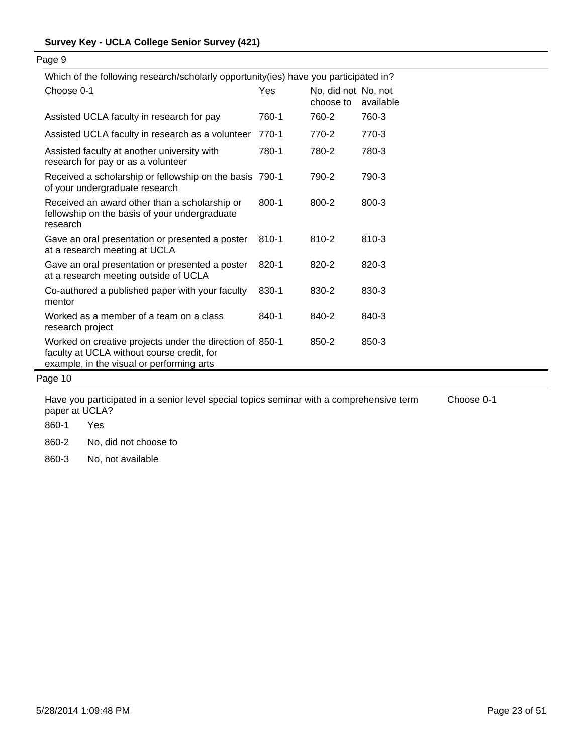| Which of the following research/scholarly opportunity(ies) have you participated in?                                                                |           |                                  |           |
|-----------------------------------------------------------------------------------------------------------------------------------------------------|-----------|----------------------------------|-----------|
| Choose 0-1                                                                                                                                          | Yes       | No, did not No, not<br>choose to | available |
| Assisted UCLA faculty in research for pay                                                                                                           | 760-1     | 760-2                            | 760-3     |
| Assisted UCLA faculty in research as a volunteer                                                                                                    | 770-1     | 770-2                            | 770-3     |
| Assisted faculty at another university with<br>research for pay or as a volunteer                                                                   | 780-1     | 780-2                            | 780-3     |
| Received a scholarship or fellowship on the basis 790-1<br>of your undergraduate research                                                           |           | 790-2                            | 790-3     |
| Received an award other than a scholarship or<br>fellowship on the basis of your undergraduate<br>research                                          | $800 - 1$ | 800-2                            | 800-3     |
| Gave an oral presentation or presented a poster<br>at a research meeting at UCLA                                                                    | 810-1     | 810-2                            | 810-3     |
| Gave an oral presentation or presented a poster<br>at a research meeting outside of UCLA                                                            | 820-1     | 820-2                            | 820-3     |
| Co-authored a published paper with your faculty<br>mentor                                                                                           | 830-1     | 830-2                            | 830-3     |
| Worked as a member of a team on a class<br>research project                                                                                         | 840-1     | 840-2                            | 840-3     |
| Worked on creative projects under the direction of 850-1<br>faculty at UCLA without course credit, for<br>example, in the visual or performing arts |           | 850-2                            | 850-3     |
| Page 10                                                                                                                                             |           |                                  |           |

Have you participated in a senior level special topics seminar with a comprehensive term paper at UCLA? Choose 0-1

860-1 Yes

860-2 No, did not choose to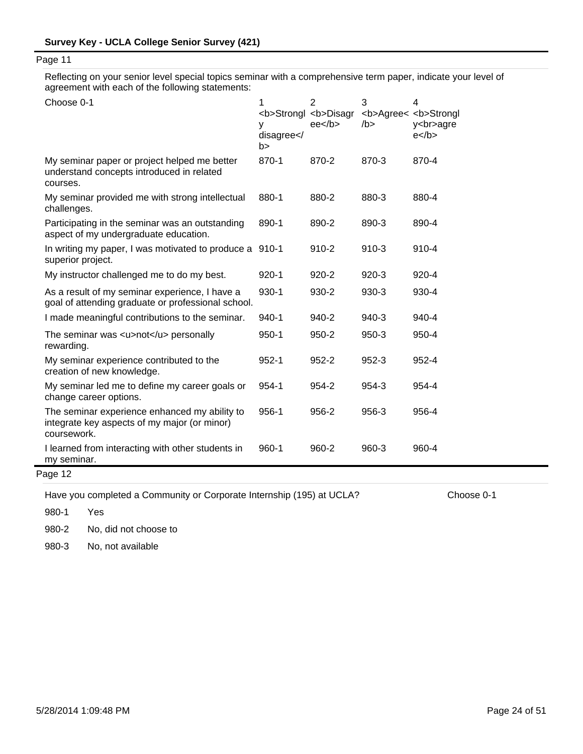Reflecting on your senior level special topics seminar with a comprehensive term paper, indicate your level of agreement with each of the following statements:

| Choose 0-1                                                                                                   | 1<br><b>Strongl <b>Disagr<br/>y<br/>disagree<!--<br-->b&gt;</b></b> | $\overline{2}$<br>$ee$ /b> | 3<br>/b   | 4<br><b>Agree&lt; <b>Strongl<br/>y<br/>agre<br/><math>e</math> </b></b> |
|--------------------------------------------------------------------------------------------------------------|---------------------------------------------------------------------|----------------------------|-----------|-------------------------------------------------------------------------|
| My seminar paper or project helped me better<br>understand concepts introduced in related<br>courses.        | 870-1                                                               | 870-2                      | 870-3     | 870-4                                                                   |
| My seminar provided me with strong intellectual<br>challenges.                                               | 880-1                                                               | 880-2                      | 880-3     | 880-4                                                                   |
| Participating in the seminar was an outstanding<br>aspect of my undergraduate education.                     | 890-1                                                               | 890-2                      | 890-3     | 890-4                                                                   |
| In writing my paper, I was motivated to produce a<br>superior project.                                       | $910 - 1$                                                           | 910-2                      | $910-3$   | 910-4                                                                   |
| My instructor challenged me to do my best.                                                                   | $920 - 1$                                                           | 920-2                      | $920 - 3$ | 920-4                                                                   |
| As a result of my seminar experience, I have a<br>goal of attending graduate or professional school.         | 930-1                                                               | 930-2                      | 930-3     | 930-4                                                                   |
| I made meaningful contributions to the seminar.                                                              | 940-1                                                               | 940-2                      | 940-3     | 940-4                                                                   |
| The seminar was <u>not</u> personally<br>rewarding.                                                          | $950 - 1$                                                           | 950-2                      | 950-3     | 950-4                                                                   |
| My seminar experience contributed to the<br>creation of new knowledge.                                       | $952 - 1$                                                           | 952-2                      | 952-3     | 952-4                                                                   |
| My seminar led me to define my career goals or<br>change career options.                                     | 954-1                                                               | 954-2                      | 954-3     | 954-4                                                                   |
| The seminar experience enhanced my ability to<br>integrate key aspects of my major (or minor)<br>coursework. | 956-1                                                               | 956-2                      | 956-3     | 956-4                                                                   |
| I learned from interacting with other students in<br>my seminar.                                             | 960-1                                                               | 960-2                      | 960-3     | 960-4                                                                   |
| Page 12                                                                                                      |                                                                     |                            |           |                                                                         |

Have you completed a Community or Corporate Internship (195) at UCLA? Choose 0-1

980-1 Yes

980-2 No, did not choose to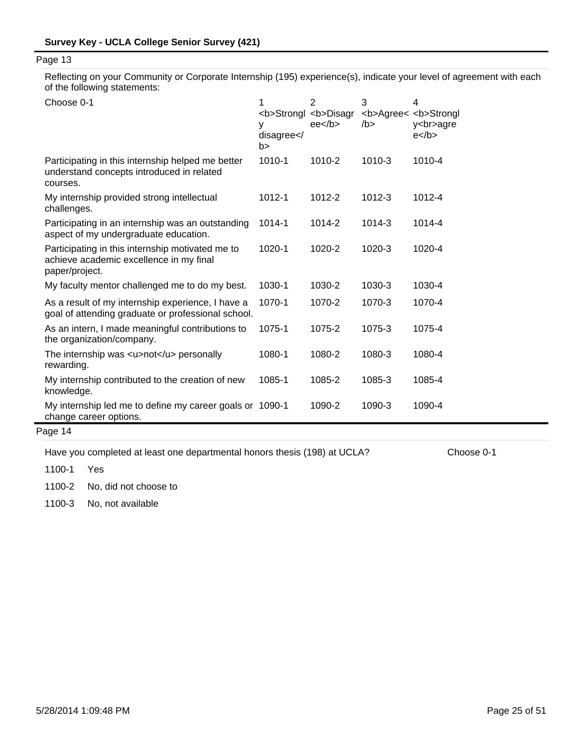Reflecting on your Community or Corporate Internship (195) experience(s), indicate your level of agreement with each of the following statements:

| Choose 0-1                                                                                                    | 1<br><b>Strongl <b>Disagr<br/>y<br/>disagree<!--<br-->b&gt;</b></b> | $\overline{2}$<br>$ee$ /b> | 3<br><b>Agree&lt; <b>Strongl<br/>/b &gt;</b></b> | 4<br>y<br>agre<br>$e$ |
|---------------------------------------------------------------------------------------------------------------|---------------------------------------------------------------------|----------------------------|--------------------------------------------------|-----------------------|
| Participating in this internship helped me better<br>understand concepts introduced in related<br>courses.    | 1010-1                                                              | 1010-2                     | 1010-3                                           | 1010-4                |
| My internship provided strong intellectual<br>challenges.                                                     | 1012-1                                                              | 1012-2                     | 1012-3                                           | 1012-4                |
| Participating in an internship was an outstanding<br>aspect of my undergraduate education.                    | $1014 - 1$                                                          | 1014-2                     | 1014-3                                           | 1014-4                |
| Participating in this internship motivated me to<br>achieve academic excellence in my final<br>paper/project. | $1020 - 1$                                                          | 1020-2                     | 1020-3                                           | 1020-4                |
| My faculty mentor challenged me to do my best.                                                                | 1030-1                                                              | 1030-2                     | 1030-3                                           | 1030-4                |
| As a result of my internship experience, I have a<br>goal of attending graduate or professional school.       | 1070-1                                                              | 1070-2                     | 1070-3                                           | 1070-4                |
| As an intern, I made meaningful contributions to<br>the organization/company.                                 | 1075-1                                                              | 1075-2                     | 1075-3                                           | 1075-4                |
| The internship was <u>not</u> personally<br>rewarding.                                                        | 1080-1                                                              | 1080-2                     | 1080-3                                           | 1080-4                |
| My internship contributed to the creation of new<br>knowledge.                                                | 1085-1                                                              | 1085-2                     | 1085-3                                           | 1085-4                |
| My internship led me to define my career goals or 1090-1<br>change career options.                            |                                                                     | 1090-2                     | 1090-3                                           | 1090-4                |

Page 14

Have you completed at least one departmental honors thesis (198) at UCLA? Choose 0-1

1100-1 Yes

1100-2 No, did not choose to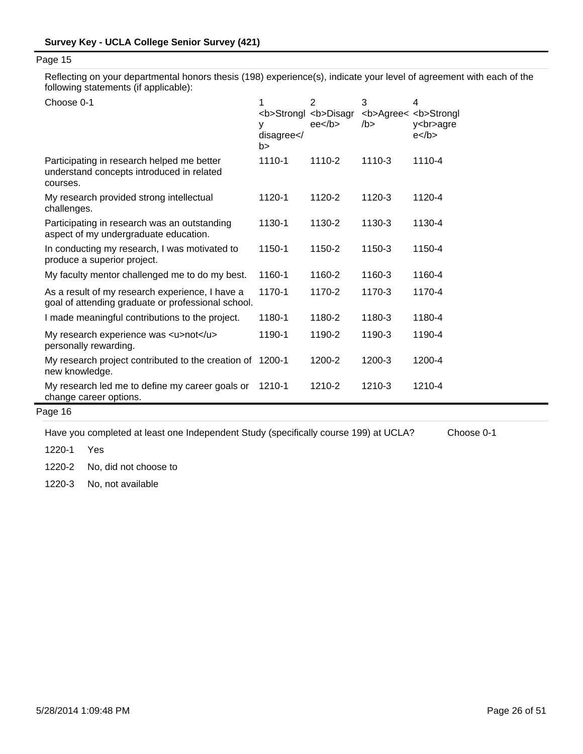Reflecting on your departmental honors thesis (198) experience(s), indicate your level of agreement with each of the following statements (if applicable):

| Choose 0-1                                                                                            | <b>Strongl <b>Disagr<br/>٧<br/>disagree &lt; /<br/>b&gt;</b></b> | 2<br>ee <sub>2</sub> | 3<br>/b > | 4<br><b>Agree&lt; <b>Strongl<br/>y<br/>agre<br/><math>e</math> </b></b> |
|-------------------------------------------------------------------------------------------------------|------------------------------------------------------------------|----------------------|-----------|-------------------------------------------------------------------------|
| Participating in research helped me better<br>understand concepts introduced in related<br>courses.   | 1110-1                                                           | 1110-2               | 1110-3    | 1110-4                                                                  |
| My research provided strong intellectual<br>challenges.                                               | 1120-1                                                           | 1120-2               | 1120-3    | 1120-4                                                                  |
| Participating in research was an outstanding<br>aspect of my undergraduate education.                 | 1130-1                                                           | 1130-2               | 1130-3    | 1130-4                                                                  |
| In conducting my research, I was motivated to<br>produce a superior project.                          | 1150-1                                                           | 1150-2               | 1150-3    | 1150-4                                                                  |
| My faculty mentor challenged me to do my best.                                                        | 1160-1                                                           | 1160-2               | 1160-3    | 1160-4                                                                  |
| As a result of my research experience, I have a<br>goal of attending graduate or professional school. | 1170-1                                                           | 1170-2               | 1170-3    | 1170-4                                                                  |
| I made meaningful contributions to the project.                                                       | 1180-1                                                           | 1180-2               | 1180-3    | 1180-4                                                                  |
| My research experience was <u>not</u><br>personally rewarding.                                        | 1190-1                                                           | 1190-2               | 1190-3    | 1190-4                                                                  |
| My research project contributed to the creation of 1200-1<br>new knowledge.                           |                                                                  | 1200-2               | 1200-3    | 1200-4                                                                  |
| My research led me to define my career goals or<br>change career options.                             | 1210-1                                                           | 1210-2               | 1210-3    | 1210-4                                                                  |

# Page 16

Have you completed at least one Independent Study (specifically course 199) at UCLA? Choose 0-1

1220-1 Yes

1220-2 No, did not choose to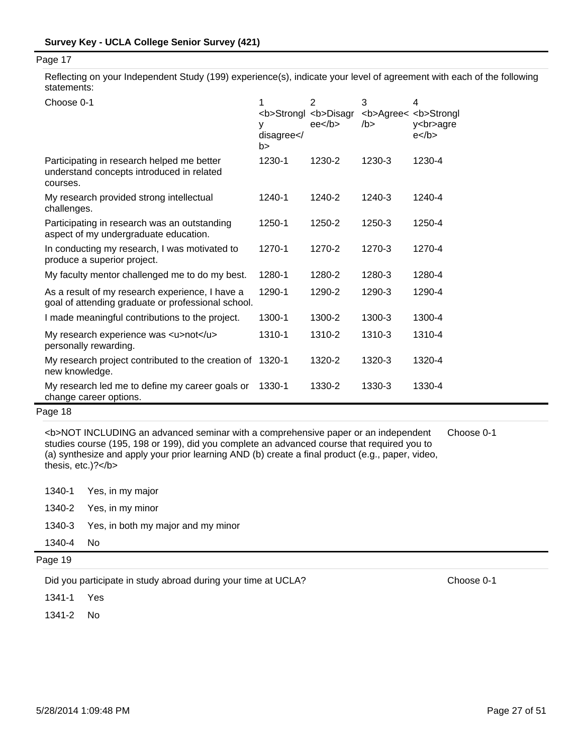Reflecting on your Independent Study (199) experience(s), indicate your level of agreement with each of the following statements:

| Choose 0-1                                                                                            | <b>Strongl <b>Disagr<br/>٧<br/>disagree<!--<br-->b&gt;</b></b> | 2<br>ee <sub>2</sub> | 3<br><b>Agree&lt; <b>Strongl<br/>/b &gt;</b></b> | 4<br>y<br>agre<br>$e$ |
|-------------------------------------------------------------------------------------------------------|----------------------------------------------------------------|----------------------|--------------------------------------------------|-----------------------|
| Participating in research helped me better<br>understand concepts introduced in related<br>courses.   | 1230-1                                                         | 1230-2               | 1230-3                                           | 1230-4                |
| My research provided strong intellectual<br>challenges.                                               | 1240-1                                                         | 1240-2               | 1240-3                                           | 1240-4                |
| Participating in research was an outstanding<br>aspect of my undergraduate education.                 | 1250-1                                                         | 1250-2               | 1250-3                                           | 1250-4                |
| In conducting my research, I was motivated to<br>produce a superior project.                          | 1270-1                                                         | 1270-2               | 1270-3                                           | 1270-4                |
| My faculty mentor challenged me to do my best.                                                        | 1280-1                                                         | 1280-2               | 1280-3                                           | 1280-4                |
| As a result of my research experience, I have a<br>goal of attending graduate or professional school. | 1290-1                                                         | 1290-2               | 1290-3                                           | 1290-4                |
| I made meaningful contributions to the project.                                                       | 1300-1                                                         | 1300-2               | 1300-3                                           | 1300-4                |
| My research experience was <u>not</u><br>personally rewarding.                                        | 1310-1                                                         | 1310-2               | 1310-3                                           | 1310-4                |
| My research project contributed to the creation of 1320-1<br>new knowledge.                           |                                                                | 1320-2               | 1320-3                                           | 1320-4                |
| My research led me to define my career goals or<br>change career options.                             | 1330-1                                                         | 1330-2               | 1330-3                                           | 1330-4                |

## Page 18

<b>NOT INCLUDING an advanced seminar with a comprehensive paper or an independent studies course (195, 198 or 199), did you complete an advanced course that required you to (a) synthesize and apply your prior learning AND (b) create a final product (e.g., paper, video, thesis, etc.)?</b>

| Choose 0-1 |  |
|------------|--|
|------------|--|

|           | 1340-1 Yes, in my major                   |
|-----------|-------------------------------------------|
|           | 1340-2 Yes, in my minor                   |
|           | 1340-3 Yes, in both my major and my minor |
| 1340-4 No |                                           |

Page 19

Did you participate in study abroad during your time at UCLA? Choose 0-1

1341-1 Yes

1341-2 No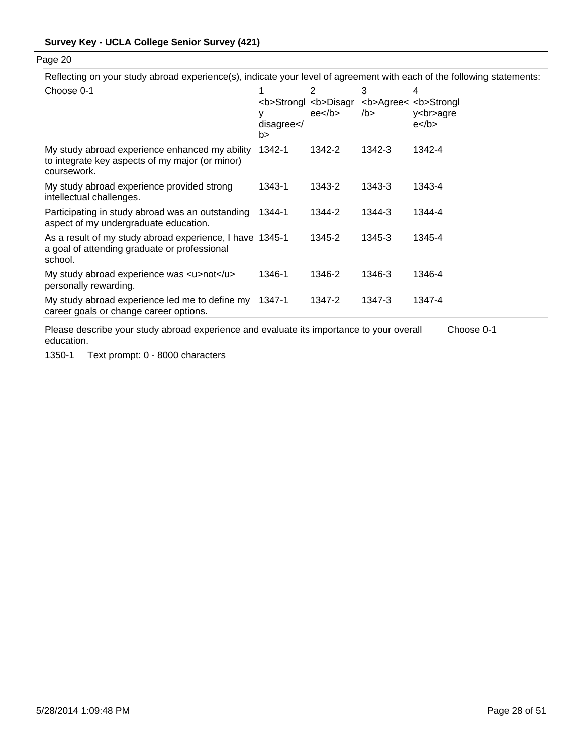Reflecting on your study abroad experience(s), indicate your level of agreement with each of the following statements:

| Choose 0-1                                                                                                          | <b>Strongl <b>Disagr<br/>у<br/>disagree &lt; /<br/>b&gt;</b></b> | 2<br>ee <sub>2</sub> | 3<br><b>Agree&lt; <b>Strongl<br/>/b &gt;</b></b> | 4<br>y<br>agre<br>$e$ |
|---------------------------------------------------------------------------------------------------------------------|------------------------------------------------------------------|----------------------|--------------------------------------------------|-----------------------|
| My study abroad experience enhanced my ability<br>to integrate key aspects of my major (or minor)<br>coursework.    | 1342-1                                                           | 1342-2               | 1342-3                                           | 1342-4                |
| My study abroad experience provided strong<br>intellectual challenges.                                              | 1343-1                                                           | 1343-2               | 1343-3                                           | 1343-4                |
| Participating in study abroad was an outstanding<br>aspect of my undergraduate education.                           | 1344-1                                                           | 1344-2               | 1344-3                                           | 1344-4                |
| As a result of my study abroad experience, I have 1345-1<br>a goal of attending graduate or professional<br>school. |                                                                  | 1345-2               | 1345-3                                           | 1345-4                |
| My study abroad experience was <u>not</u><br>personally rewarding.                                                  | 1346-1                                                           | 1346-2               | 1346-3                                           | 1346-4                |
| My study abroad experience led me to define my<br>career goals or change career options.                            | 1347-1                                                           | 1347-2               | 1347-3                                           | 1347-4                |

Please describe your study abroad experience and evaluate its importance to your overall education. Choose 0-1

1350-1 Text prompt: 0 - 8000 characters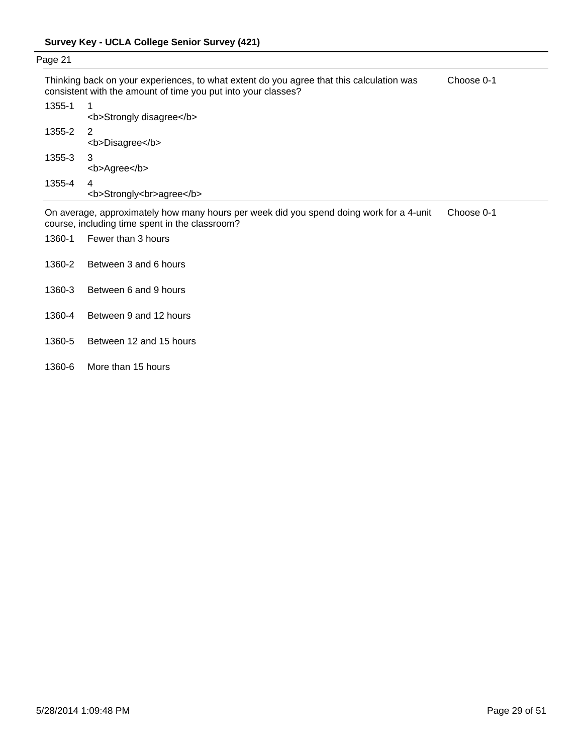| Page 21 |                                                                                                                                                           |            |
|---------|-----------------------------------------------------------------------------------------------------------------------------------------------------------|------------|
|         | Thinking back on your experiences, to what extent do you agree that this calculation was<br>consistent with the amount of time you put into your classes? | Choose 0-1 |
| 1355-1  | <b>Strongly disagree</b>                                                                                                                                  |            |
| 1355-2  | -2<br><b>Disagree</b>                                                                                                                                     |            |
| 1355-3  | 3<br><b>Agree</b>                                                                                                                                         |            |
| 1355-4  | 4<br><b>Strongly<br/>agree</b>                                                                                                                            |            |

On average, approximately how many hours per week did you spend doing work for a 4-unit course, including time spent in the classroom? Choose 0-1

- 1360-1 Fewer than 3 hours
- 1360-2 Between 3 and 6 hours
- 1360-3 Between 6 and 9 hours
- 1360-4 Between 9 and 12 hours
- 1360-5 Between 12 and 15 hours
- 1360-6 More than 15 hours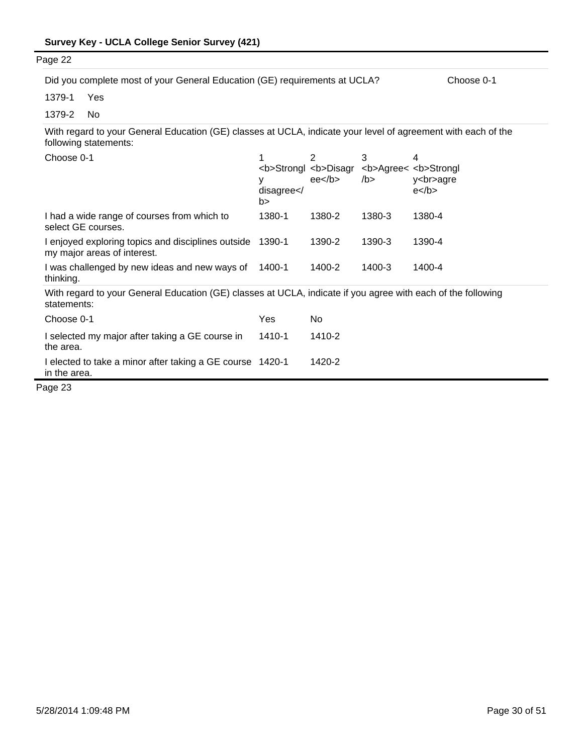| Page 22                                                                                                                                |                       |                                                      |           |                                                                         |
|----------------------------------------------------------------------------------------------------------------------------------------|-----------------------|------------------------------------------------------|-----------|-------------------------------------------------------------------------|
|                                                                                                                                        |                       |                                                      |           |                                                                         |
| Did you complete most of your General Education (GE) requirements at UCLA?                                                             |                       |                                                      |           | Choose 0-1                                                              |
| 1379-1<br>Yes                                                                                                                          |                       |                                                      |           |                                                                         |
| 1379-2<br>No                                                                                                                           |                       |                                                      |           |                                                                         |
| With regard to your General Education (GE) classes at UCLA, indicate your level of agreement with each of the<br>following statements: |                       |                                                      |           |                                                                         |
| Choose 0-1                                                                                                                             | 1<br>disagree <br b > | 2<br><b>Strongl <b>Disagr<br/>ee<sub>2</sub></b></b> | 3<br>/b > | 4<br><b>Agree&lt; <b>Strongl<br/>y<br/>agre<br/><math>e</math> </b></b> |
| I had a wide range of courses from which to<br>select GE courses.                                                                      | 1380-1                | 1380-2                                               | 1380-3    | 1380-4                                                                  |
| I enjoyed exploring topics and disciplines outside<br>my major areas of interest.                                                      | 1390-1                | 1390-2                                               | 1390-3    | 1390-4                                                                  |
| I was challenged by new ideas and new ways of<br>thinking.                                                                             | 1400-1                | 1400-2                                               | 1400-3    | 1400-4                                                                  |
| With regard to your General Education (GE) classes at UCLA, indicate if you agree with each of the following<br>statements:            |                       |                                                      |           |                                                                         |
| Choose 0-1                                                                                                                             | Yes                   | No                                                   |           |                                                                         |
| I selected my major after taking a GE course in<br>the area.                                                                           | 1410-1                | 1410-2                                               |           |                                                                         |
| I elected to take a minor after taking a GE course 1420-1<br>in the area.                                                              |                       | 1420-2                                               |           |                                                                         |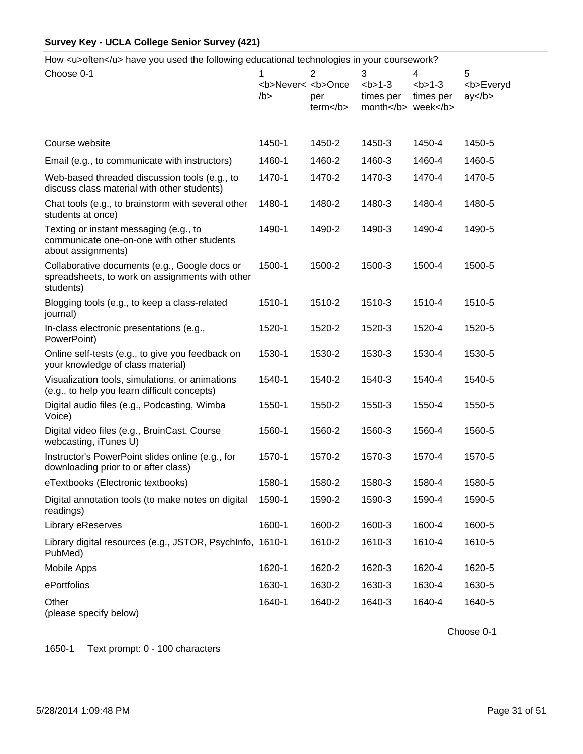How <u>often</u> have you used the following educational technologies in your coursework?

| Choose 0-1                                                                                                    | 1<br><b>Never&lt; <b>Once<br/>/b</b></b> | $\overline{2}$<br>per<br>term <th>3<br/><math>1-3</math><br/>times per<br/>month week</th> <th>4<br/><math>b &gt; 1-3</math><br/>times per</th> <th>5<br/><b>Everyd<br/>ay </b></th> | 3<br>$1-3$<br>times per<br>month week | 4<br>$b > 1-3$<br>times per | 5<br><b>Everyd<br/>ay </b> |
|---------------------------------------------------------------------------------------------------------------|------------------------------------------|--------------------------------------------------------------------------------------------------------------------------------------------------------------------------------------|---------------------------------------|-----------------------------|----------------------------|
| Course website                                                                                                | 1450-1                                   | 1450-2                                                                                                                                                                               | 1450-3                                | 1450-4                      | 1450-5                     |
| Email (e.g., to communicate with instructors)                                                                 | 1460-1                                   | 1460-2                                                                                                                                                                               | 1460-3                                | 1460-4                      | 1460-5                     |
| Web-based threaded discussion tools (e.g., to<br>discuss class material with other students)                  | 1470-1                                   | 1470-2                                                                                                                                                                               | 1470-3                                | 1470-4                      | 1470-5                     |
| Chat tools (e.g., to brainstorm with several other<br>students at once)                                       | 1480-1                                   | 1480-2                                                                                                                                                                               | 1480-3                                | 1480-4                      | 1480-5                     |
| Texting or instant messaging (e.g., to<br>communicate one-on-one with other students<br>about assignments)    | 1490-1                                   | 1490-2                                                                                                                                                                               | 1490-3                                | 1490-4                      | 1490-5                     |
| Collaborative documents (e.g., Google docs or<br>spreadsheets, to work on assignments with other<br>students) | 1500-1                                   | 1500-2                                                                                                                                                                               | 1500-3                                | 1500-4                      | 1500-5                     |
| Blogging tools (e.g., to keep a class-related<br>journal)                                                     | 1510-1                                   | 1510-2                                                                                                                                                                               | 1510-3                                | 1510-4                      | 1510-5                     |
| In-class electronic presentations (e.g.,<br>PowerPoint)                                                       | 1520-1                                   | 1520-2                                                                                                                                                                               | 1520-3                                | 1520-4                      | 1520-5                     |
| Online self-tests (e.g., to give you feedback on<br>your knowledge of class material)                         | 1530-1                                   | 1530-2                                                                                                                                                                               | 1530-3                                | 1530-4                      | 1530-5                     |
| Visualization tools, simulations, or animations<br>(e.g., to help you learn difficult concepts)               | 1540-1                                   | 1540-2                                                                                                                                                                               | 1540-3                                | 1540-4                      | 1540-5                     |
| Digital audio files (e.g., Podcasting, Wimba<br>Voice)                                                        | 1550-1                                   | 1550-2                                                                                                                                                                               | 1550-3                                | 1550-4                      | 1550-5                     |
| Digital video files (e.g., BruinCast, Course<br>webcasting, iTunes U)                                         | 1560-1                                   | 1560-2                                                                                                                                                                               | 1560-3                                | 1560-4                      | 1560-5                     |
| Instructor's PowerPoint slides online (e.g., for<br>downloading prior to or after class)                      | 1570-1                                   | 1570-2                                                                                                                                                                               | 1570-3                                | 1570-4                      | 1570-5                     |
| eTextbooks (Electronic textbooks)                                                                             | 1580-1                                   | 1580-2                                                                                                                                                                               | 1580-3                                | 1580-4                      | 1580-5                     |
| Digital annotation tools (to make notes on digital<br>readings)                                               | 1590-1                                   | 1590-2                                                                                                                                                                               | 1590-3                                | 1590-4                      | 1590-5                     |
| Library eReserves                                                                                             | 1600-1                                   | 1600-2                                                                                                                                                                               | 1600-3                                | 1600-4                      | 1600-5                     |
| Library digital resources (e.g., JSTOR, PsychInfo, 1610-1<br>PubMed)                                          |                                          | 1610-2                                                                                                                                                                               | 1610-3                                | 1610-4                      | 1610-5                     |
| Mobile Apps                                                                                                   | 1620-1                                   | 1620-2                                                                                                                                                                               | 1620-3                                | 1620-4                      | 1620-5                     |
| ePortfolios                                                                                                   | 1630-1                                   | 1630-2                                                                                                                                                                               | 1630-3                                | 1630-4                      | 1630-5                     |
| Other<br>(please specify below)                                                                               | 1640-1                                   | 1640-2                                                                                                                                                                               | 1640-3                                | 1640-4                      | 1640-5                     |

Choose 0-1

1650-1 Text prompt: 0 - 100 characters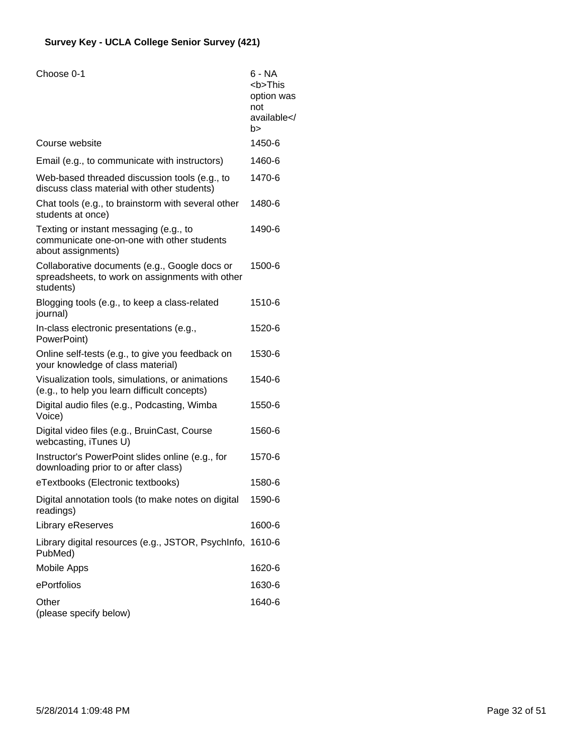| Choose 0-1                                                                                                    | 6 - NA<br><b>This<br/>option was<br/>not<br/>available<!--<br-->b&gt;</b> |
|---------------------------------------------------------------------------------------------------------------|---------------------------------------------------------------------------|
| Course website                                                                                                | 1450-6                                                                    |
| Email (e.g., to communicate with instructors)                                                                 | 1460-6                                                                    |
| Web-based threaded discussion tools (e.g., to<br>discuss class material with other students)                  | 1470-6                                                                    |
| Chat tools (e.g., to brainstorm with several other<br>students at once)                                       | 1480-6                                                                    |
| Texting or instant messaging (e.g., to<br>communicate one-on-one with other students<br>about assignments)    | 1490-6                                                                    |
| Collaborative documents (e.g., Google docs or<br>spreadsheets, to work on assignments with other<br>students) | 1500-6                                                                    |
| Blogging tools (e.g., to keep a class-related<br>journal)                                                     | 1510-6                                                                    |
| In-class electronic presentations (e.g.,<br>PowerPoint)                                                       | 1520-6                                                                    |
| Online self-tests (e.g., to give you feedback on<br>your knowledge of class material)                         | 1530-6                                                                    |
| Visualization tools, simulations, or animations<br>(e.g., to help you learn difficult concepts)               | 1540-6                                                                    |
| Digital audio files (e.g., Podcasting, Wimba<br>Voice)                                                        | 1550-6                                                                    |
| Digital video files (e.g., BruinCast, Course<br>webcasting, iTunes U)                                         | 1560-6                                                                    |
| Instructor's PowerPoint slides online (e.g., for<br>downloading prior to or after class)                      | 1570-6                                                                    |
| eTextbooks (Electronic textbooks)                                                                             | 1580-6                                                                    |
| Digital annotation tools (to make notes on digital<br>readings)                                               | 1590-6                                                                    |
| Library eReserves                                                                                             | 1600-6                                                                    |
| Library digital resources (e.g., JSTOR, PsychInfo, 1610-6<br>PubMed)                                          |                                                                           |
| <b>Mobile Apps</b>                                                                                            | 1620-6                                                                    |
| ePortfolios                                                                                                   | 1630-6                                                                    |
| Other<br>(please specify below)                                                                               | 1640-6                                                                    |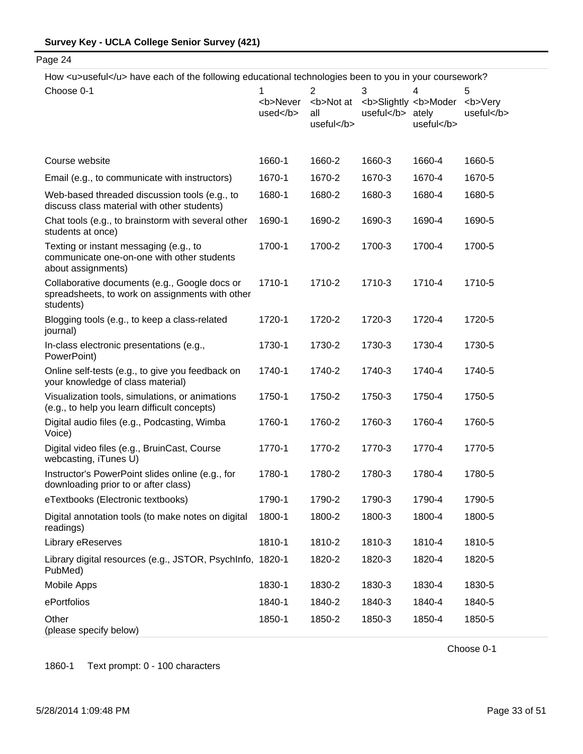How <u>useful</u> have each of the following educational technologies been to you in your coursework?

| aboral side individuality into rollowing baddallorial toolinologica booth to you in your courson              |                                              |                                       |                   |                                              |                             |
|---------------------------------------------------------------------------------------------------------------|----------------------------------------------|---------------------------------------|-------------------|----------------------------------------------|-----------------------------|
| Choose 0-1                                                                                                    | <b>Never<br/><math>used&lt;</math>/b&gt;</b> | 2<br><b>Not at<br/>all<br/>useful</b> | 3<br>useful ately | 4<br><b>Slightly <b>Moder<br/>useful</b></b> | 5<br><b>Very<br/>useful</b> |
| Course website                                                                                                | 1660-1                                       | 1660-2                                | 1660-3            | 1660-4                                       | 1660-5                      |
| Email (e.g., to communicate with instructors)                                                                 | 1670-1                                       | 1670-2                                | 1670-3            | 1670-4                                       | 1670-5                      |
| Web-based threaded discussion tools (e.g., to<br>discuss class material with other students)                  | 1680-1                                       | 1680-2                                | 1680-3            | 1680-4                                       | 1680-5                      |
| Chat tools (e.g., to brainstorm with several other<br>students at once)                                       | 1690-1                                       | 1690-2                                | 1690-3            | 1690-4                                       | 1690-5                      |
| Texting or instant messaging (e.g., to<br>communicate one-on-one with other students<br>about assignments)    | 1700-1                                       | 1700-2                                | 1700-3            | 1700-4                                       | 1700-5                      |
| Collaborative documents (e.g., Google docs or<br>spreadsheets, to work on assignments with other<br>students) | 1710-1                                       | 1710-2                                | 1710-3            | 1710-4                                       | 1710-5                      |
| Blogging tools (e.g., to keep a class-related<br>journal)                                                     | 1720-1                                       | 1720-2                                | 1720-3            | 1720-4                                       | 1720-5                      |
| In-class electronic presentations (e.g.,<br>PowerPoint)                                                       | 1730-1                                       | 1730-2                                | 1730-3            | 1730-4                                       | 1730-5                      |
| Online self-tests (e.g., to give you feedback on<br>your knowledge of class material)                         | 1740-1                                       | 1740-2                                | 1740-3            | 1740-4                                       | 1740-5                      |
| Visualization tools, simulations, or animations<br>(e.g., to help you learn difficult concepts)               | 1750-1                                       | 1750-2                                | 1750-3            | 1750-4                                       | 1750-5                      |
| Digital audio files (e.g., Podcasting, Wimba<br>Voice)                                                        | 1760-1                                       | 1760-2                                | 1760-3            | 1760-4                                       | 1760-5                      |
| Digital video files (e.g., BruinCast, Course<br>webcasting, iTunes U)                                         | 1770-1                                       | 1770-2                                | 1770-3            | 1770-4                                       | 1770-5                      |
| Instructor's PowerPoint slides online (e.g., for<br>downloading prior to or after class)                      | 1780-1                                       | 1780-2                                | 1780-3            | 1780-4                                       | 1780-5                      |
| eTextbooks (Electronic textbooks)                                                                             | 1790-1                                       | 1790-2                                | 1790-3            | 1790-4                                       | 1790-5                      |
| Digital annotation tools (to make notes on digital<br>readings)                                               | 1800-1                                       | 1800-2                                | 1800-3            | 1800-4                                       | 1800-5                      |
| Library eReserves                                                                                             | 1810-1                                       | 1810-2                                | 1810-3            | 1810-4                                       | 1810-5                      |
| Library digital resources (e.g., JSTOR, PsychInfo, 1820-1<br>PubMed)                                          |                                              | 1820-2                                | 1820-3            | 1820-4                                       | 1820-5                      |
| Mobile Apps                                                                                                   | 1830-1                                       | 1830-2                                | 1830-3            | 1830-4                                       | 1830-5                      |
| ePortfolios                                                                                                   | 1840-1                                       | 1840-2                                | 1840-3            | 1840-4                                       | 1840-5                      |
| Other<br>(please specify below)                                                                               | 1850-1                                       | 1850-2                                | 1850-3            | 1850-4                                       | 1850-5                      |

1860-1 Text prompt: 0 - 100 characters

Choose 0-1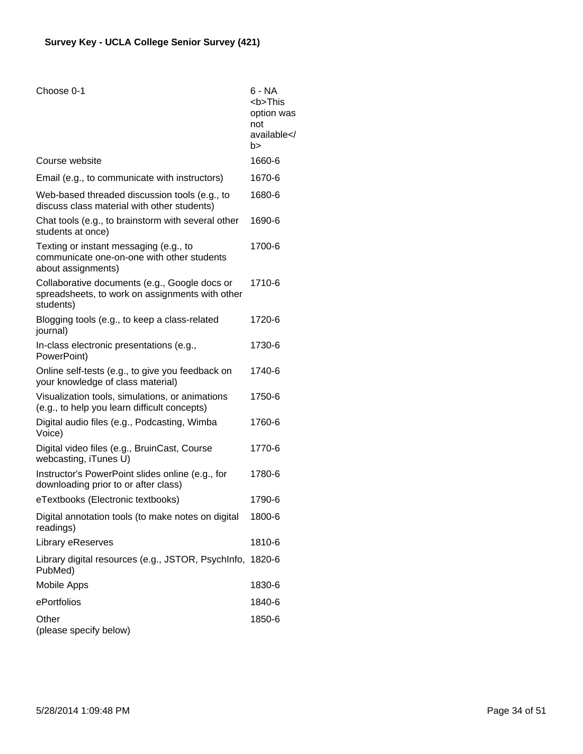| Choose 0-1                                                                                                    | 6 - NA<br><b>This<br/>option was<br/>not<br/>available<br/>b&gt;</b> |
|---------------------------------------------------------------------------------------------------------------|----------------------------------------------------------------------|
| Course website                                                                                                | 1660-6                                                               |
| Email (e.g., to communicate with instructors)                                                                 | 1670-6                                                               |
| Web-based threaded discussion tools (e.g., to<br>discuss class material with other students)                  | 1680-6                                                               |
| Chat tools (e.g., to brainstorm with several other<br>students at once)                                       | 1690-6                                                               |
| Texting or instant messaging (e.g., to<br>communicate one-on-one with other students<br>about assignments)    | 1700-6                                                               |
| Collaborative documents (e.g., Google docs or<br>spreadsheets, to work on assignments with other<br>students) | 1710-6                                                               |
| Blogging tools (e.g., to keep a class-related<br>journal)                                                     | 1720-6                                                               |
| In-class electronic presentations (e.g.,<br>PowerPoint)                                                       | 1730-6                                                               |
| Online self-tests (e.g., to give you feedback on<br>your knowledge of class material)                         | 1740-6                                                               |
| Visualization tools, simulations, or animations<br>(e.g., to help you learn difficult concepts)               | 1750-6                                                               |
| Digital audio files (e.g., Podcasting, Wimba<br>Voice)                                                        | 1760-6                                                               |
| Digital video files (e.g., BruinCast, Course<br>webcasting, iTunes U)                                         | 1770-6                                                               |
| Instructor's PowerPoint slides online (e.g., for<br>downloading prior to or after class)                      | 1780-6                                                               |
| eTextbooks (Electronic textbooks)                                                                             | 1790-6                                                               |
| Digital annotation tools (to make notes on digital<br>readings)                                               | 1800-6                                                               |
| Library eReserves                                                                                             | 1810-6                                                               |
| Library digital resources (e.g., JSTOR, PsychInfo, 1820-6<br>PubMed)                                          |                                                                      |
| <b>Mobile Apps</b>                                                                                            | 1830-6                                                               |
| ePortfolios                                                                                                   | 1840-6                                                               |
| Other<br>(please specify below)                                                                               | 1850-6                                                               |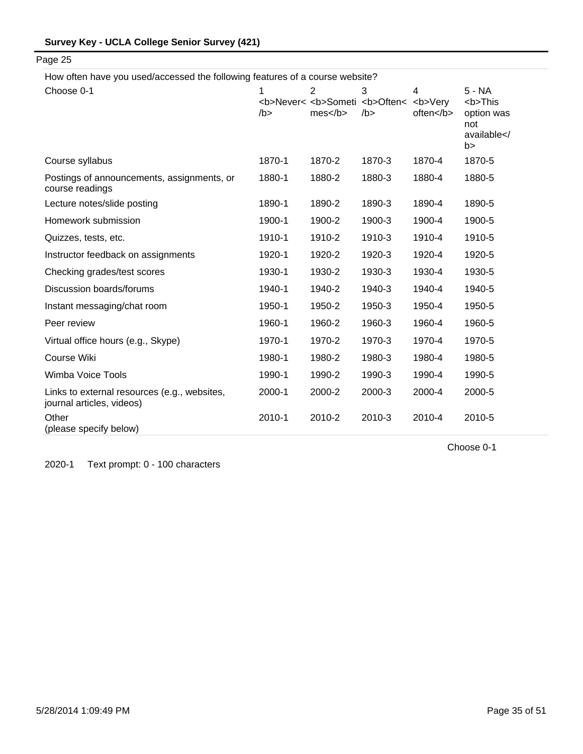How often have you used/accessed the following features of a course website?

Page 25

| Choose 0-1                                                                | 1<br>/b > | 2<br>mes | 3<br><b>Never&lt; <b>Someti <b>Often&lt; <b>Very<br/>/b</b></b></b></b> | $\overline{\mathbf{4}}$<br>often | 5 - NA<br><b>This<br/>option was<br/>not<br/>available<!--<br-->b&gt;</b> |
|---------------------------------------------------------------------------|-----------|----------|-------------------------------------------------------------------------|----------------------------------|---------------------------------------------------------------------------|
| Course syllabus                                                           | 1870-1    | 1870-2   | 1870-3                                                                  | 1870-4                           | 1870-5                                                                    |
| Postings of announcements, assignments, or<br>course readings             | 1880-1    | 1880-2   | 1880-3                                                                  | 1880-4                           | 1880-5                                                                    |
| Lecture notes/slide posting                                               | 1890-1    | 1890-2   | 1890-3                                                                  | 1890-4                           | 1890-5                                                                    |
| Homework submission                                                       | 1900-1    | 1900-2   | 1900-3                                                                  | 1900-4                           | 1900-5                                                                    |
| Quizzes, tests, etc.                                                      | 1910-1    | 1910-2   | 1910-3                                                                  | 1910-4                           | 1910-5                                                                    |
| Instructor feedback on assignments                                        | 1920-1    | 1920-2   | 1920-3                                                                  | 1920-4                           | 1920-5                                                                    |
| Checking grades/test scores                                               | 1930-1    | 1930-2   | 1930-3                                                                  | 1930-4                           | 1930-5                                                                    |
| Discussion boards/forums                                                  | 1940-1    | 1940-2   | 1940-3                                                                  | 1940-4                           | 1940-5                                                                    |
| Instant messaging/chat room                                               | 1950-1    | 1950-2   | 1950-3                                                                  | 1950-4                           | 1950-5                                                                    |
| Peer review                                                               | 1960-1    | 1960-2   | 1960-3                                                                  | 1960-4                           | 1960-5                                                                    |
| Virtual office hours (e.g., Skype)                                        | 1970-1    | 1970-2   | 1970-3                                                                  | 1970-4                           | 1970-5                                                                    |
| <b>Course Wiki</b>                                                        | 1980-1    | 1980-2   | 1980-3                                                                  | 1980-4                           | 1980-5                                                                    |
| Wimba Voice Tools                                                         | 1990-1    | 1990-2   | 1990-3                                                                  | 1990-4                           | 1990-5                                                                    |
| Links to external resources (e.g., websites,<br>journal articles, videos) | 2000-1    | 2000-2   | 2000-3                                                                  | 2000-4                           | 2000-5                                                                    |
| Other<br>(please specify below)                                           | 2010-1    | 2010-2   | 2010-3                                                                  | 2010-4                           | 2010-5                                                                    |

2020-1 Text prompt: 0 - 100 characters

Choose 0-1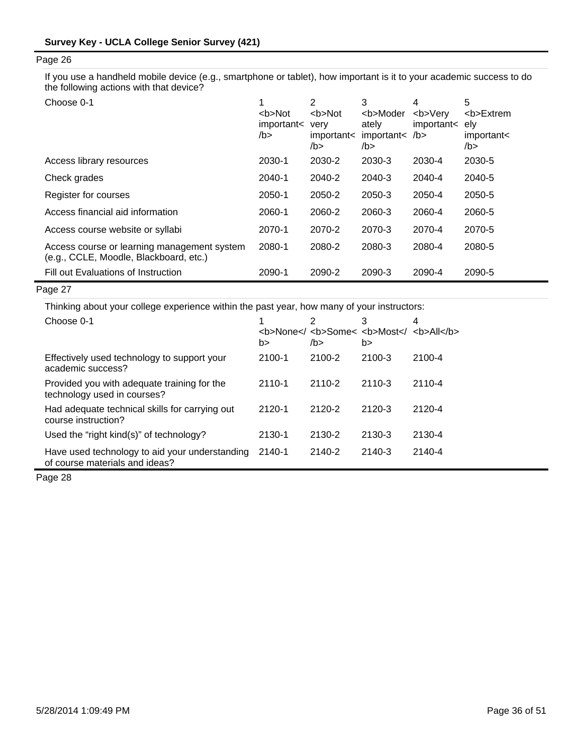If you use a handheld mobile device (e.g., smartphone or tablet), how important is it to your academic success to do the following actions with that device?

| Choose 0-1                                                                            | <b>Not<br/>important&lt;<br/>/b&gt;</b> | 2<br>$5$<br>very<br>important<<br>/b > | 3<br><b>Moder<br/>ately<br/>important&lt; /b<br/>/b</b> | 4<br><b>Verv<br/>important&lt; ely</b> | 5<br><b>Extrem<br/>important&lt;<br/>/b &gt;</b> |
|---------------------------------------------------------------------------------------|-----------------------------------------|----------------------------------------|---------------------------------------------------------|----------------------------------------|--------------------------------------------------|
| Access library resources                                                              | 2030-1                                  | 2030-2                                 | 2030-3                                                  | 2030-4                                 | 2030-5                                           |
| Check grades                                                                          | 2040-1                                  | 2040-2                                 | 2040-3                                                  | 2040-4                                 | 2040-5                                           |
| Register for courses                                                                  | 2050-1                                  | 2050-2                                 | 2050-3                                                  | 2050-4                                 | 2050-5                                           |
| Access financial aid information                                                      | 2060-1                                  | 2060-2                                 | 2060-3                                                  | 2060-4                                 | 2060-5                                           |
| Access course website or syllabi                                                      | 2070-1                                  | 2070-2                                 | 2070-3                                                  | 2070-4                                 | 2070-5                                           |
| Access course or learning management system<br>(e.g., CCLE, Moodle, Blackboard, etc.) | 2080-1                                  | 2080-2                                 | 2080-3                                                  | 2080-4                                 | 2080-5                                           |
| Fill out Evaluations of Instruction                                                   | 2090-1                                  | 2090-2                                 | 2090-3                                                  | 2090-4                                 | 2090-5                                           |

## Page 27

Thinking about your college experience within the past year, how many of your instructors:

| Choose 0-1                                                                       | b>         | 2<br><b>None<!-- <b-->Some&lt; <b>Most<!-- <b-->All</b><br/>/b&gt;</b> | 3<br>b> | 4      |
|----------------------------------------------------------------------------------|------------|------------------------------------------------------------------------|---------|--------|
| Effectively used technology to support your<br>academic success?                 | 2100-1     | 2100-2                                                                 | 2100-3  | 2100-4 |
| Provided you with adequate training for the<br>technology used in courses?       | $2110 - 1$ | 2110-2                                                                 | 2110-3  | 2110-4 |
| Had adequate technical skills for carrying out<br>course instruction?            | $2120 - 1$ | 2120-2                                                                 | 2120-3  | 2120-4 |
| Used the "right kind(s)" of technology?                                          | 2130-1     | 2130-2                                                                 | 2130-3  | 2130-4 |
| Have used technology to aid your understanding<br>of course materials and ideas? | 2140-1     | 2140-2                                                                 | 2140-3  | 2140-4 |

Page 28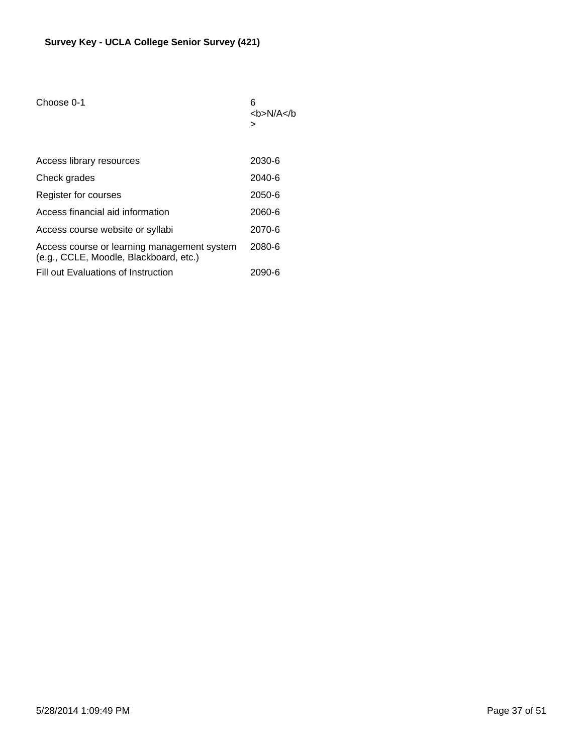| Choose 0-1                                                                            | 6<br><b>N/A&gt;</b> |
|---------------------------------------------------------------------------------------|---------------------|
| Access library resources                                                              | 2030-6              |
| Check grades                                                                          | $2040 - 6$          |
| Register for courses                                                                  | $2050 - 6$          |
| Access financial aid information                                                      | 2060-6              |
| Access course website or syllabi                                                      | 2070-6              |
| Access course or learning management system<br>(e.g., CCLE, Moodle, Blackboard, etc.) | 2080-6              |
| Fill out Evaluations of Instruction                                                   | 2090-6              |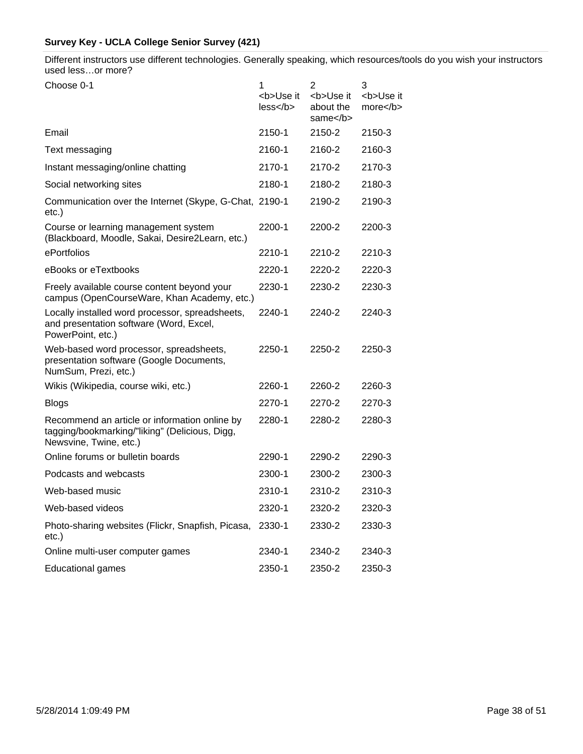Different instructors use different technologies. Generally speaking, which resources/tools do you wish your instructors used less…or more?

| Choose 0-1                                                                                                                | 1                       | $\overline{2}$                       | 3                       |
|---------------------------------------------------------------------------------------------------------------------------|-------------------------|--------------------------------------|-------------------------|
|                                                                                                                           | <b>Use it<br/>less </b> | <b>Use it<br/>about the<br/>same</b> | <b>Use it<br/>more </b> |
| Email                                                                                                                     | 2150-1                  | 2150-2                               | 2150-3                  |
| Text messaging                                                                                                            | 2160-1                  | 2160-2                               | 2160-3                  |
| Instant messaging/online chatting                                                                                         | 2170-1                  | 2170-2                               | 2170-3                  |
| Social networking sites                                                                                                   | 2180-1                  | 2180-2                               | 2180-3                  |
| Communication over the Internet (Skype, G-Chat, 2190-1<br>$etc.$ )                                                        |                         | 2190-2                               | 2190-3                  |
| Course or learning management system<br>(Blackboard, Moodle, Sakai, Desire2Learn, etc.)                                   | 2200-1                  | 2200-2                               | 2200-3                  |
| ePortfolios                                                                                                               | 2210-1                  | 2210-2                               | 2210-3                  |
| eBooks or eTextbooks                                                                                                      | 2220-1                  | 2220-2                               | 2220-3                  |
| Freely available course content beyond your<br>campus (OpenCourseWare, Khan Academy, etc.)                                | 2230-1                  | 2230-2                               | 2230-3                  |
| Locally installed word processor, spreadsheets,<br>and presentation software (Word, Excel,<br>PowerPoint, etc.)           | 2240-1                  | 2240-2                               | 2240-3                  |
| Web-based word processor, spreadsheets,<br>presentation software (Google Documents,<br>NumSum, Prezi, etc.)               | 2250-1                  | 2250-2                               | 2250-3                  |
| Wikis (Wikipedia, course wiki, etc.)                                                                                      | 2260-1                  | 2260-2                               | 2260-3                  |
| <b>Blogs</b>                                                                                                              | 2270-1                  | 2270-2                               | 2270-3                  |
| Recommend an article or information online by<br>tagging/bookmarking/"liking" (Delicious, Digg,<br>Newsvine, Twine, etc.) | 2280-1                  | 2280-2                               | 2280-3                  |
| Online forums or bulletin boards                                                                                          | 2290-1                  | 2290-2                               | 2290-3                  |
| Podcasts and webcasts                                                                                                     | 2300-1                  | 2300-2                               | 2300-3                  |
| Web-based music                                                                                                           | 2310-1                  | 2310-2                               | 2310-3                  |
| Web-based videos                                                                                                          | 2320-1                  | 2320-2                               | 2320-3                  |
| Photo-sharing websites (Flickr, Snapfish, Picasa,<br>$etc.$ )                                                             | 2330-1                  | 2330-2                               | 2330-3                  |
| Online multi-user computer games                                                                                          | 2340-1                  | 2340-2                               | 2340-3                  |
| <b>Educational games</b>                                                                                                  | 2350-1                  | 2350-2                               | 2350-3                  |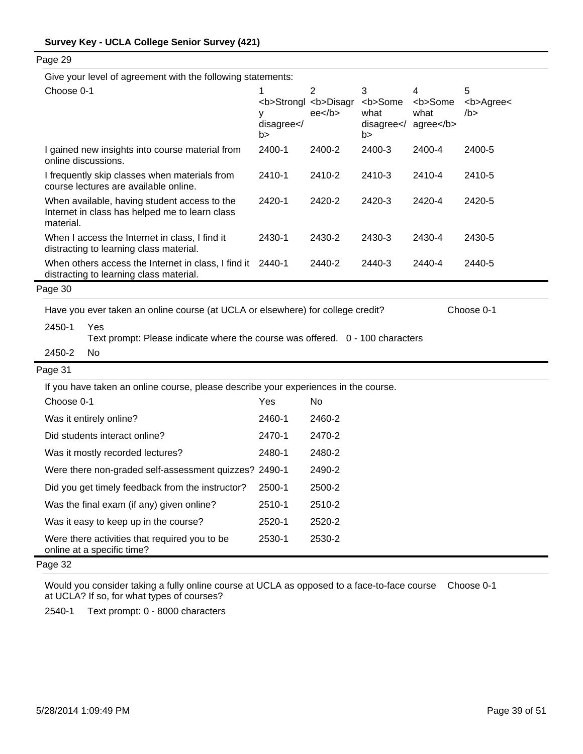| Page 29                                                                                                     |                           |                                                                              |                                                       |                                     |                              |
|-------------------------------------------------------------------------------------------------------------|---------------------------|------------------------------------------------------------------------------|-------------------------------------------------------|-------------------------------------|------------------------------|
| Give your level of agreement with the following statements:                                                 |                           |                                                                              |                                                       |                                     |                              |
| Choose 0-1                                                                                                  | 1<br>у<br>disagree <br b> | $\overline{2}$<br><b>Strongl <b>Disagr<br/><math>ee&lt;</math>/b&gt;</b></b> | 3<br><b>Some<br/>what<br/>disagree<!--<br-->b&gt;</b> | 4<br><b>Some<br/>what<br/>agree</b> | 5<br><b>Agree&lt;<br/>/b</b> |
| I gained new insights into course material from<br>online discussions.                                      | 2400-1                    | 2400-2                                                                       | 2400-3                                                | 2400-4                              | 2400-5                       |
| I frequently skip classes when materials from<br>course lectures are available online.                      | 2410-1                    | 2410-2                                                                       | 2410-3                                                | 2410-4                              | 2410-5                       |
| When available, having student access to the<br>Internet in class has helped me to learn class<br>material. | 2420-1                    | 2420-2                                                                       | 2420-3                                                | 2420-4                              | 2420-5                       |
| When I access the Internet in class, I find it<br>distracting to learning class material.                   | 2430-1                    | 2430-2                                                                       | 2430-3                                                | 2430-4                              | 2430-5                       |
| When others access the Internet in class, I find it 2440-1<br>distracting to learning class material.       |                           | 2440-2                                                                       | 2440-3                                                | 2440-4                              | 2440-5                       |
| Page 30                                                                                                     |                           |                                                                              |                                                       |                                     |                              |
| Have you ever taken an online course (at UCLA or elsewhere) for college credit?                             |                           |                                                                              |                                                       |                                     | Choose 0-1                   |
| 2450-1<br>Yes<br>Text prompt: Please indicate where the course was offered. 0 - 100 characters              |                           |                                                                              |                                                       |                                     |                              |
| <b>No</b><br>2450-2                                                                                         |                           |                                                                              |                                                       |                                     |                              |
| Page 31                                                                                                     |                           |                                                                              |                                                       |                                     |                              |
| If you have taken an online course, please describe your experiences in the course.                         |                           |                                                                              |                                                       |                                     |                              |
| Choose 0-1                                                                                                  | Yes                       | <b>No</b>                                                                    |                                                       |                                     |                              |
| Was it entirely online?                                                                                     | 2460-1                    | 2460-2                                                                       |                                                       |                                     |                              |
| Did students interact online?                                                                               | 2470-1                    | 2470-2                                                                       |                                                       |                                     |                              |
| Was it mostly recorded lectures?                                                                            | 2480-1                    | 2480-2                                                                       |                                                       |                                     |                              |
| Were there non-graded self-assessment quizzes? 2490-1                                                       |                           | 2490-2                                                                       |                                                       |                                     |                              |
| Did you get timely feedback from the instructor?                                                            | 2500-1                    | 2500-2                                                                       |                                                       |                                     |                              |
| Was the final exam (if any) given online?                                                                   | 2510-1                    | 2510-2                                                                       |                                                       |                                     |                              |
| Was it easy to keep up in the course?                                                                       | 2520-1                    | 2520-2                                                                       |                                                       |                                     |                              |
| Were there activities that required you to be<br>online at a specific time?                                 | 2530-1                    | 2530-2                                                                       |                                                       |                                     |                              |
| Page 32                                                                                                     |                           |                                                                              |                                                       |                                     |                              |

Would you consider taking a fully online course at UCLA as opposed to a face-to-face course Choose 0-1at UCLA? If so, for what types of courses?

2540-1 Text prompt: 0 - 8000 characters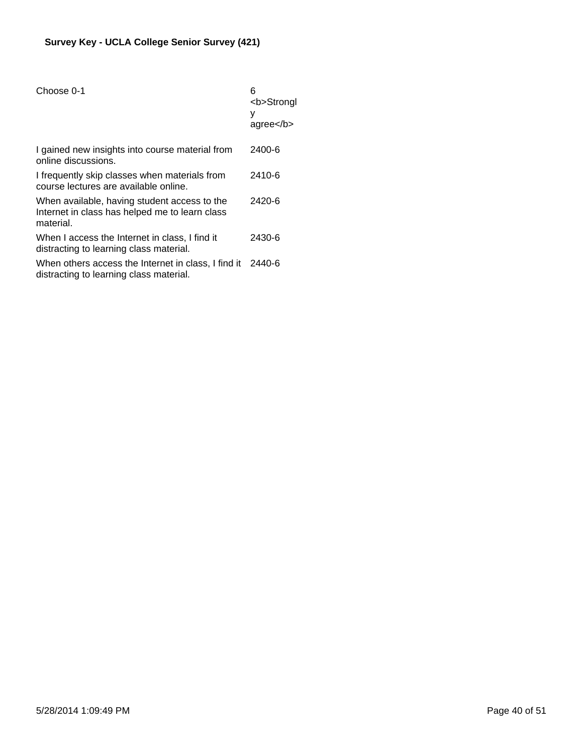| Choose 0-1                                                                                                  | 6<br><b>Strongl<br/>у<br/><math>ag</math>ree<math>&lt;</math>/b&gt;</b> |
|-------------------------------------------------------------------------------------------------------------|-------------------------------------------------------------------------|
| I gained new insights into course material from<br>online discussions.                                      | 2400-6                                                                  |
| I frequently skip classes when materials from<br>course lectures are available online.                      | 2410-6                                                                  |
| When available, having student access to the<br>Internet in class has helped me to learn class<br>material. | 2420-6                                                                  |
| When I access the Internet in class, I find it<br>distracting to learning class material.                   | 2430-6                                                                  |
| When others access the Internet in class, I find it<br>distracting to learning class material.              | 2440-6                                                                  |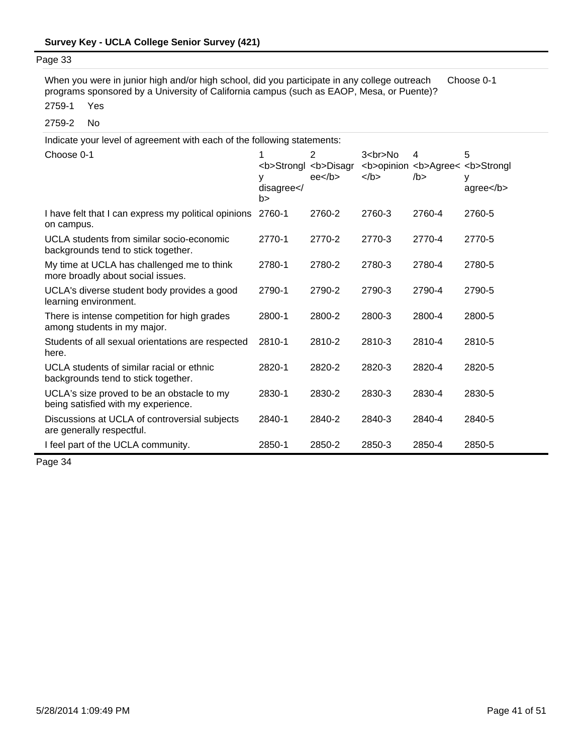2759-1 Yes When you were in junior high and/or high school, did you participate in any college outreach programs sponsored by a University of California campus (such as EAOP, Mesa, or Puente)? Choose 0-1

2759-2 No

| Indicate your level of agreement with each of the following statements:           |                 |                                                      |                         |           |                                                                     |  |  |
|-----------------------------------------------------------------------------------|-----------------|------------------------------------------------------|-------------------------|-----------|---------------------------------------------------------------------|--|--|
| Choose 0-1                                                                        | disagree <br b> | 2<br><b>Strongl <b>Disagr<br/>ee<sub>2</sub></b></b> | $3 < b$ r>No<br>$<$ /b> | 4<br>/b > | 5<br><b>opinion <b>Agree&lt; <b>Strongl<br/>у<br/>agree</b></b></b> |  |  |
| I have felt that I can express my political opinions<br>on campus.                | 2760-1          | 2760-2                                               | 2760-3                  | 2760-4    | 2760-5                                                              |  |  |
| UCLA students from similar socio-economic<br>backgrounds tend to stick together.  | 2770-1          | 2770-2                                               | 2770-3                  | 2770-4    | 2770-5                                                              |  |  |
| My time at UCLA has challenged me to think<br>more broadly about social issues.   | 2780-1          | 2780-2                                               | 2780-3                  | 2780-4    | 2780-5                                                              |  |  |
| UCLA's diverse student body provides a good<br>learning environment.              | 2790-1          | 2790-2                                               | 2790-3                  | 2790-4    | 2790-5                                                              |  |  |
| There is intense competition for high grades<br>among students in my major.       | 2800-1          | 2800-2                                               | 2800-3                  | 2800-4    | 2800-5                                                              |  |  |
| Students of all sexual orientations are respected<br>here.                        | 2810-1          | 2810-2                                               | 2810-3                  | 2810-4    | 2810-5                                                              |  |  |
| UCLA students of similar racial or ethnic<br>backgrounds tend to stick together.  | 2820-1          | 2820-2                                               | 2820-3                  | 2820-4    | 2820-5                                                              |  |  |
| UCLA's size proved to be an obstacle to my<br>being satisfied with my experience. | 2830-1          | 2830-2                                               | 2830-3                  | 2830-4    | 2830-5                                                              |  |  |
| Discussions at UCLA of controversial subjects<br>are generally respectful.        | 2840-1          | 2840-2                                               | 2840-3                  | 2840-4    | 2840-5                                                              |  |  |
| I feel part of the UCLA community.                                                | 2850-1          | 2850-2                                               | 2850-3                  | 2850-4    | 2850-5                                                              |  |  |

Page 34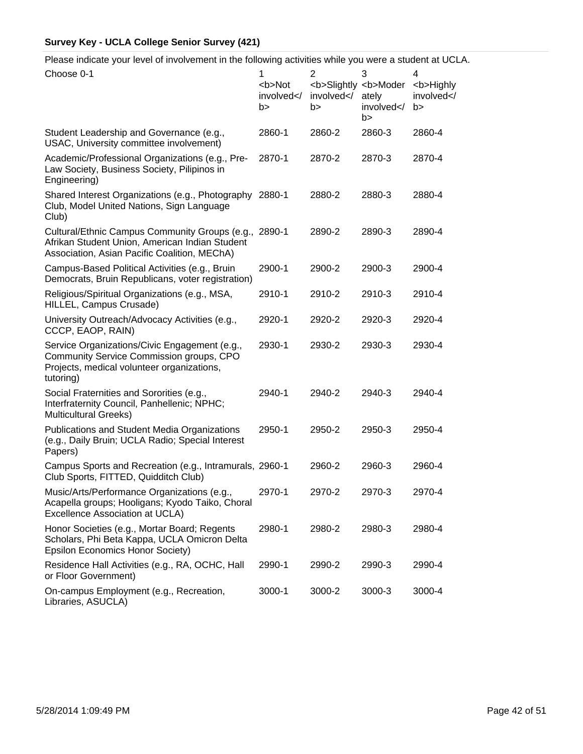Please indicate your level of involvement in the following activities while you were a student at UCLA.

| Choose 0-1                                                                                                                                              | 1<br><b>Not<br/>involved<!--<br-->b&gt;</b> | $\overline{2}$<br>involved <br b> | 3<br><b>Slightly <b>Moder<br/>ately<br/>involved<!--<br-->b&gt;</b></b> | 4<br><b>Highly<br/>involved<!--<br-->b&gt;</b> |
|---------------------------------------------------------------------------------------------------------------------------------------------------------|---------------------------------------------|-----------------------------------|-------------------------------------------------------------------------|------------------------------------------------|
| Student Leadership and Governance (e.g.,<br>USAC, University committee involvement)                                                                     | 2860-1                                      | 2860-2                            | 2860-3                                                                  | 2860-4                                         |
| Academic/Professional Organizations (e.g., Pre-<br>Law Society, Business Society, Pilipinos in<br>Engineering)                                          | 2870-1                                      | 2870-2                            | 2870-3                                                                  | 2870-4                                         |
| Shared Interest Organizations (e.g., Photography 2880-1<br>Club, Model United Nations, Sign Language<br>Club)                                           |                                             | 2880-2                            | 2880-3                                                                  | 2880-4                                         |
| Cultural/Ethnic Campus Community Groups (e.g., 2890-1<br>Afrikan Student Union, American Indian Student<br>Association, Asian Pacific Coalition, MEChA) |                                             | 2890-2                            | 2890-3                                                                  | 2890-4                                         |
| Campus-Based Political Activities (e.g., Bruin<br>Democrats, Bruin Republicans, voter registration)                                                     | 2900-1                                      | 2900-2                            | 2900-3                                                                  | 2900-4                                         |
| Religious/Spiritual Organizations (e.g., MSA,<br>HILLEL, Campus Crusade)                                                                                | 2910-1                                      | 2910-2                            | 2910-3                                                                  | 2910-4                                         |
| University Outreach/Advocacy Activities (e.g.,<br>CCCP, EAOP, RAIN)                                                                                     | 2920-1                                      | 2920-2                            | 2920-3                                                                  | 2920-4                                         |
| Service Organizations/Civic Engagement (e.g.,<br>Community Service Commission groups, CPO<br>Projects, medical volunteer organizations,<br>tutoring)    | 2930-1                                      | 2930-2                            | 2930-3                                                                  | 2930-4                                         |
| Social Fraternities and Sororities (e.g.,<br>Interfraternity Council, Panhellenic; NPHC;<br><b>Multicultural Greeks)</b>                                | 2940-1                                      | 2940-2                            | 2940-3                                                                  | 2940-4                                         |
| Publications and Student Media Organizations<br>(e.g., Daily Bruin; UCLA Radio; Special Interest<br>Papers)                                             | 2950-1                                      | 2950-2                            | 2950-3                                                                  | 2950-4                                         |
| Campus Sports and Recreation (e.g., Intramurals, 2960-1<br>Club Sports, FITTED, Quidditch Club)                                                         |                                             | 2960-2                            | 2960-3                                                                  | 2960-4                                         |
| Music/Arts/Performance Organizations (e.g.,<br>Acapella groups; Hooligans; Kyodo Taiko, Choral<br>Excellence Association at UCLA)                       | 2970-1                                      | 2970-2                            | 2970-3                                                                  | 2970-4                                         |
| Honor Societies (e.g., Mortar Board; Regents<br>Scholars, Phi Beta Kappa, UCLA Omicron Delta<br><b>Epsilon Economics Honor Society)</b>                 | 2980-1                                      | 2980-2                            | 2980-3                                                                  | 2980-4                                         |
| Residence Hall Activities (e.g., RA, OCHC, Hall<br>or Floor Government)                                                                                 | 2990-1                                      | 2990-2                            | 2990-3                                                                  | 2990-4                                         |
| On-campus Employment (e.g., Recreation,<br>Libraries, ASUCLA)                                                                                           | 3000-1                                      | 3000-2                            | 3000-3                                                                  | 3000-4                                         |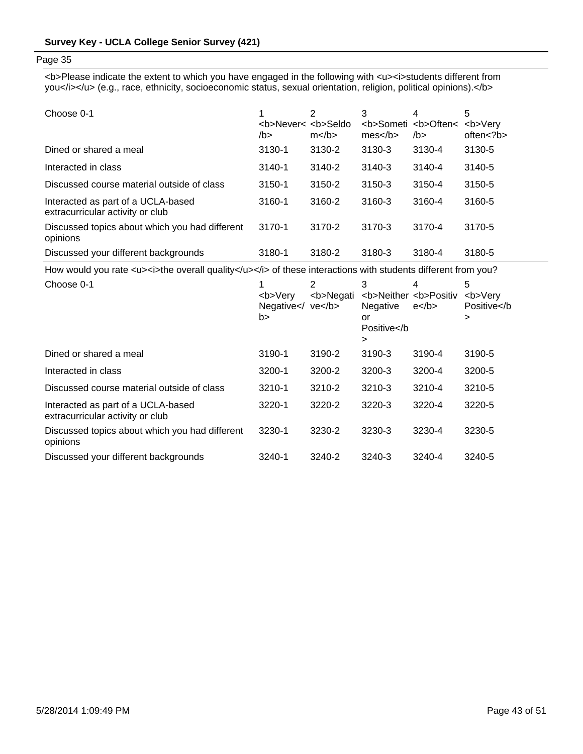<b>Please indicate the extent to which you have engaged in the following with <u><i>students different from you</i></u> (e.g., race, ethnicity, socioeconomic status, sexual orientation, religion, political opinions).</b>

| Choose 0-1                                                             | <b>Never&lt; <b>Seldo<br/>/b&gt;</b></b> | 2<br>$m$ | 3<br>mes | 4<br><b>Someti <b>Often&lt;<br/>/b&gt;</b></b> | 5<br><b>Verv<br/>often &lt; ?b&gt;</b> |
|------------------------------------------------------------------------|------------------------------------------|----------|----------|------------------------------------------------|----------------------------------------|
| Dined or shared a meal                                                 | 3130-1                                   | 3130-2   | 3130-3   | 3130-4                                         | 3130-5                                 |
| Interacted in class                                                    | $3140 - 1$                               | 3140-2   | 3140-3   | 3140-4                                         | 3140-5                                 |
| Discussed course material outside of class                             | 3150-1                                   | 3150-2   | 3150-3   | 3150-4                                         | 3150-5                                 |
| Interacted as part of a UCLA-based<br>extracurricular activity or club | 3160-1                                   | 3160-2   | 3160-3   | 3160-4                                         | 3160-5                                 |
| Discussed topics about which you had different<br>opinions             | 3170-1                                   | 3170-2   | 3170-3   | 3170-4                                         | 3170-5                                 |
| Discussed your different backgrounds                                   | 3180-1                                   | 3180-2   | 3180-3   | 3180-4                                         | 3180-5                                 |

How would you rate <u><i>the overall quality</u></i></i> of these interactions with students different from you?

| Choose 0-1                                                             | <b>Verv<br/>Negative<math>\lt</math>/ ve<math>\lt</math>/b&gt;<br/>b&gt;</b> | 2<br><b>Negati</b> | 3<br><b>Neither <b>Positiv<br/>Negative<br/>or<br/>Positive⋗</b></b> | 4<br>$e$ | 5<br><b>Very<br/>Positive⋗</b> |
|------------------------------------------------------------------------|------------------------------------------------------------------------------|--------------------|----------------------------------------------------------------------|----------|--------------------------------|
| Dined or shared a meal                                                 | 3190-1                                                                       | 3190-2             | 3190-3                                                               | 3190-4   | 3190-5                         |
| Interacted in class                                                    | 3200-1                                                                       | 3200-2             | 3200-3                                                               | 3200-4   | 3200-5                         |
| Discussed course material outside of class                             | $3210 - 1$                                                                   | 3210-2             | 3210-3                                                               | 3210-4   | 3210-5                         |
| Interacted as part of a UCLA-based<br>extracurricular activity or club | 3220-1                                                                       | 3220-2             | 3220-3                                                               | 3220-4   | 3220-5                         |
| Discussed topics about which you had different<br>opinions             | 3230-1                                                                       | 3230-2             | 3230-3                                                               | 3230-4   | 3230-5                         |
| Discussed your different backgrounds                                   | 3240-1                                                                       | 3240-2             | 3240-3                                                               | 3240-4   | 3240-5                         |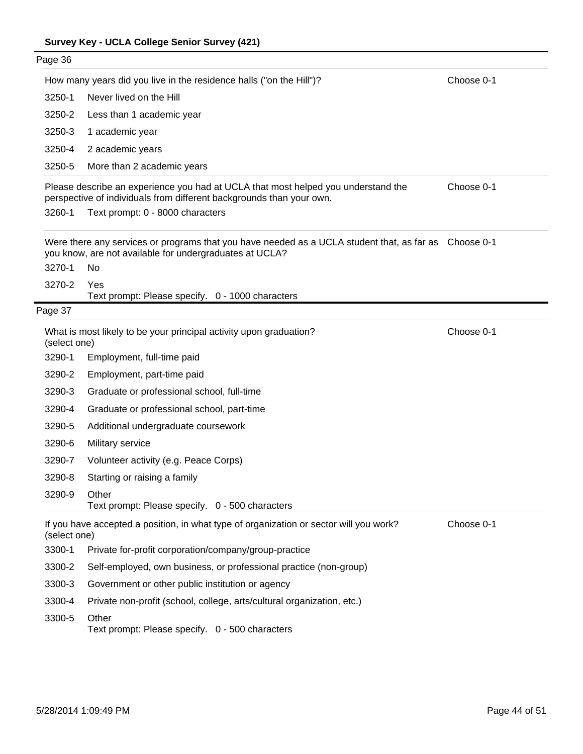| Page 36      |                                                                                                                                                                  |            |
|--------------|------------------------------------------------------------------------------------------------------------------------------------------------------------------|------------|
|              | How many years did you live in the residence halls ("on the Hill")?                                                                                              | Choose 0-1 |
| 3250-1       | Never lived on the Hill                                                                                                                                          |            |
| 3250-2       | Less than 1 academic year                                                                                                                                        |            |
| 3250-3       | 1 academic year                                                                                                                                                  |            |
| 3250-4       | 2 academic years                                                                                                                                                 |            |
| 3250-5       | More than 2 academic years                                                                                                                                       |            |
|              | Please describe an experience you had at UCLA that most helped you understand the<br>perspective of individuals from different backgrounds than your own.        | Choose 0-1 |
| 3260-1       | Text prompt: 0 - 8000 characters                                                                                                                                 |            |
|              | Were there any services or programs that you have needed as a UCLA student that, as far as Choose 0-1<br>you know, are not available for undergraduates at UCLA? |            |
| 3270-1       | No.                                                                                                                                                              |            |
| 3270-2       | Yes<br>Text prompt: Please specify. 0 - 1000 characters                                                                                                          |            |
| Page 37      |                                                                                                                                                                  |            |
| (select one) | What is most likely to be your principal activity upon graduation?                                                                                               | Choose 0-1 |
| 3290-1       | Employment, full-time paid                                                                                                                                       |            |
| 3290-2       | Employment, part-time paid                                                                                                                                       |            |
| 3290-3       | Graduate or professional school, full-time                                                                                                                       |            |
| 3290-4       | Graduate or professional school, part-time                                                                                                                       |            |
| 3290-5       | Additional undergraduate coursework                                                                                                                              |            |
| 3290-6       | Military service                                                                                                                                                 |            |
| 3290-7       | Volunteer activity (e.g. Peace Corps)                                                                                                                            |            |
| 3290-8       | Starting or raising a family                                                                                                                                     |            |
| 3290-9       | Other<br>Text prompt: Please specify. 0 - 500 characters                                                                                                         |            |
| (select one) | If you have accepted a position, in what type of organization or sector will you work?                                                                           | Choose 0-1 |
| 3300-1       | Private for-profit corporation/company/group-practice                                                                                                            |            |
| 3300-2       | Self-employed, own business, or professional practice (non-group)                                                                                                |            |
| 3300-3       | Government or other public institution or agency                                                                                                                 |            |
| 3300-4       | Private non-profit (school, college, arts/cultural organization, etc.)                                                                                           |            |
| 3300-5       | Other<br>Text prompt: Please specify. 0 - 500 characters                                                                                                         |            |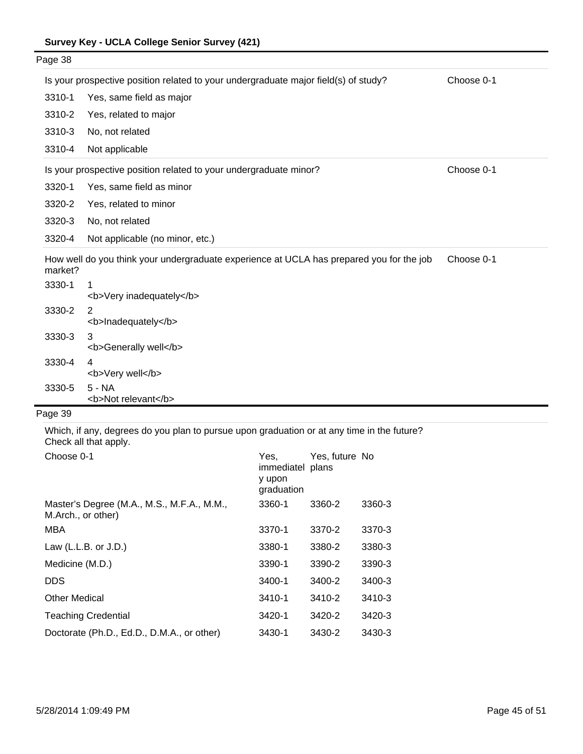| Page 38 |                                                                                          |            |
|---------|------------------------------------------------------------------------------------------|------------|
|         | Is your prospective position related to your undergraduate major field(s) of study?      | Choose 0-1 |
| 3310-1  | Yes, same field as major                                                                 |            |
| 3310-2  | Yes, related to major                                                                    |            |
| 3310-3  | No, not related                                                                          |            |
| 3310-4  | Not applicable                                                                           |            |
|         | Is your prospective position related to your undergraduate minor?                        | Choose 0-1 |
| 3320-1  | Yes, same field as minor                                                                 |            |
| 3320-2  | Yes, related to minor                                                                    |            |
| 3320-3  | No, not related                                                                          |            |
| 3320-4  | Not applicable (no minor, etc.)                                                          |            |
| market? | How well do you think your undergraduate experience at UCLA has prepared you for the job | Choose 0-1 |
| 3330-1  | $\mathbf 1$<br><b>Very inadequately</b>                                                  |            |
| 3330-2  | $\overline{2}$<br><b>Inadequately</b>                                                    |            |
| 3330-3  | 3<br><b>Generally well</b>                                                               |            |
| 3330-4  | $\overline{4}$<br><b>Very well</b>                                                       |            |
| 3330-5  | $5 - NA$<br><b>Not relevant</b>                                                          |            |
| Page 39 |                                                                                          |            |

Which, if any, degrees do you plan to pursue upon graduation or at any time in the future? Check all that apply.

| Choose 0-1                                                       | Yes.<br>immediatel plans<br>y upon<br>graduation | Yes, future No |        |
|------------------------------------------------------------------|--------------------------------------------------|----------------|--------|
| Master's Degree (M.A., M.S., M.F.A., M.M.,<br>M.Arch., or other) | 3360-1                                           | 3360-2         | 3360-3 |
| MBA                                                              | 3370-1                                           | 3370-2         | 3370-3 |
| Law $(L.L.B. or J.D.)$                                           | 3380-1                                           | 3380-2         | 3380-3 |
| Medicine (M.D.)                                                  | 3390-1                                           | 3390-2         | 3390-3 |
| <b>DDS</b>                                                       | 3400-1                                           | 3400-2         | 3400-3 |
| <b>Other Medical</b>                                             | 3410-1                                           | 3410-2         | 3410-3 |
| <b>Teaching Credential</b>                                       | 3420-1                                           | 3420-2         | 3420-3 |
| Doctorate (Ph.D., Ed.D., D.M.A., or other)                       | 3430-1                                           | 3430-2         | 3430-3 |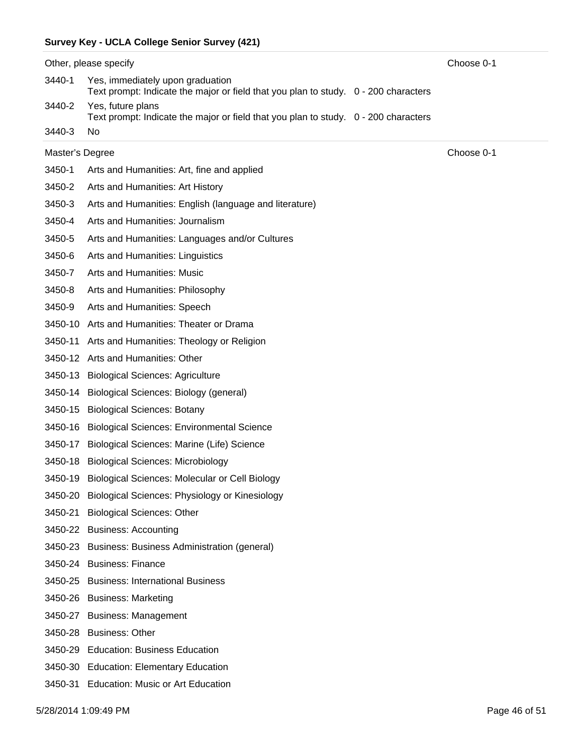|                 | Other, please specify                                                                                                   | Choose 0-1 |
|-----------------|-------------------------------------------------------------------------------------------------------------------------|------------|
| 3440-1          | Yes, immediately upon graduation<br>Text prompt: Indicate the major or field that you plan to study. 0 - 200 characters |            |
| 3440-2          | Yes, future plans<br>Text prompt: Indicate the major or field that you plan to study. 0 - 200 characters                |            |
| 3440-3          | No                                                                                                                      |            |
| Master's Degree |                                                                                                                         | Choose 0-1 |
| 3450-1          | Arts and Humanities: Art, fine and applied                                                                              |            |
| 3450-2          | Arts and Humanities: Art History                                                                                        |            |
| 3450-3          | Arts and Humanities: English (language and literature)                                                                  |            |
| 3450-4          | Arts and Humanities: Journalism                                                                                         |            |
| 3450-5          | Arts and Humanities: Languages and/or Cultures                                                                          |            |
| 3450-6          | Arts and Humanities: Linguistics                                                                                        |            |
| 3450-7          | Arts and Humanities: Music                                                                                              |            |
| 3450-8          | Arts and Humanities: Philosophy                                                                                         |            |
| 3450-9          | Arts and Humanities: Speech                                                                                             |            |
|                 | 3450-10 Arts and Humanities: Theater or Drama                                                                           |            |
| 3450-11         | Arts and Humanities: Theology or Religion                                                                               |            |
|                 | 3450-12 Arts and Humanities: Other                                                                                      |            |
| 3450-13         | <b>Biological Sciences: Agriculture</b>                                                                                 |            |
| 3450-14         | Biological Sciences: Biology (general)                                                                                  |            |
| 3450-15         | <b>Biological Sciences: Botany</b>                                                                                      |            |
|                 | 3450-16 Biological Sciences: Environmental Science                                                                      |            |
| 3450-17         | Biological Sciences: Marine (Life) Science                                                                              |            |
|                 | 3450-18 Biological Sciences: Microbiology                                                                               |            |
| 3450-19         | Biological Sciences: Molecular or Cell Biology                                                                          |            |
|                 | 3450-20 Biological Sciences: Physiology or Kinesiology                                                                  |            |
| 3450-21         | <b>Biological Sciences: Other</b>                                                                                       |            |
|                 | 3450-22 Business: Accounting                                                                                            |            |
|                 | 3450-23 Business: Business Administration (general)                                                                     |            |
|                 | 3450-24 Business: Finance                                                                                               |            |
|                 | 3450-25 Business: International Business                                                                                |            |
|                 | 3450-26 Business: Marketing                                                                                             |            |
|                 | 3450-27 Business: Management                                                                                            |            |
|                 | 3450-28 Business: Other                                                                                                 |            |
|                 | 3450-29 Education: Business Education                                                                                   |            |
|                 | 3450-30 Education: Elementary Education                                                                                 |            |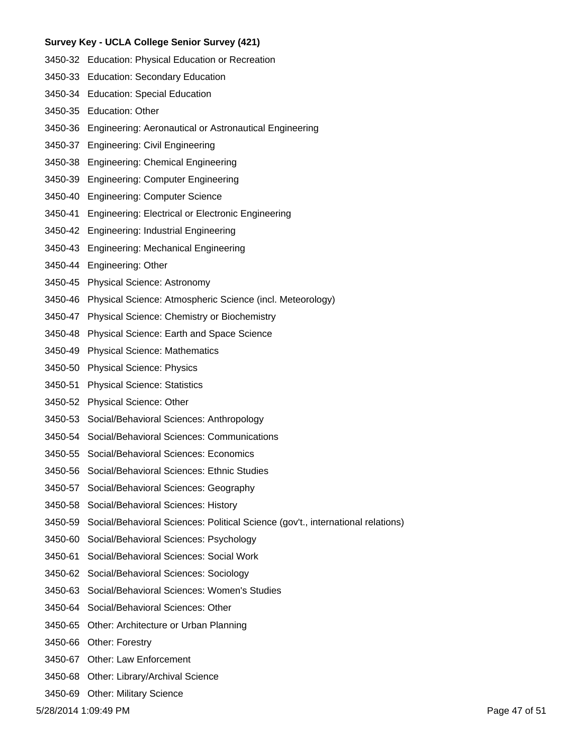- 3450-32 Education: Physical Education or Recreation
- 3450-33 Education: Secondary Education
- 3450-34 Education: Special Education
- 3450-35 Education: Other
- 3450-36 Engineering: Aeronautical or Astronautical Engineering
- 3450-37 Engineering: Civil Engineering
- 3450-38 Engineering: Chemical Engineering
- 3450-39 Engineering: Computer Engineering
- 3450-40 Engineering: Computer Science
- 3450-41 Engineering: Electrical or Electronic Engineering
- 3450-42 Engineering: Industrial Engineering
- 3450-43 Engineering: Mechanical Engineering
- 3450-44 Engineering: Other
- 3450-45 Physical Science: Astronomy
- 3450-46 Physical Science: Atmospheric Science (incl. Meteorology)
- 3450-47 Physical Science: Chemistry or Biochemistry
- 3450-48 Physical Science: Earth and Space Science
- 3450-49 Physical Science: Mathematics
- 3450-50 Physical Science: Physics
- 3450-51 Physical Science: Statistics
- 3450-52 Physical Science: Other
- 3450-53 Social/Behavioral Sciences: Anthropology
- 3450-54 Social/Behavioral Sciences: Communications
- 3450-55 Social/Behavioral Sciences: Economics
- 3450-56 Social/Behavioral Sciences: Ethnic Studies
- 3450-57 Social/Behavioral Sciences: Geography
- 3450-58 Social/Behavioral Sciences: History
- 3450-59 Social/Behavioral Sciences: Political Science (gov't., international relations)
- 3450-60 Social/Behavioral Sciences: Psychology
- 3450-61 Social/Behavioral Sciences: Social Work
- 3450-62 Social/Behavioral Sciences: Sociology
- 3450-63 Social/Behavioral Sciences: Women's Studies
- 3450-64 Social/Behavioral Sciences: Other
- 3450-65 Other: Architecture or Urban Planning
- 3450-66 Other: Forestry
- 3450-67 Other: Law Enforcement
- 3450-68 Other: Library/Archival Science
- 3450-69 Other: Military Science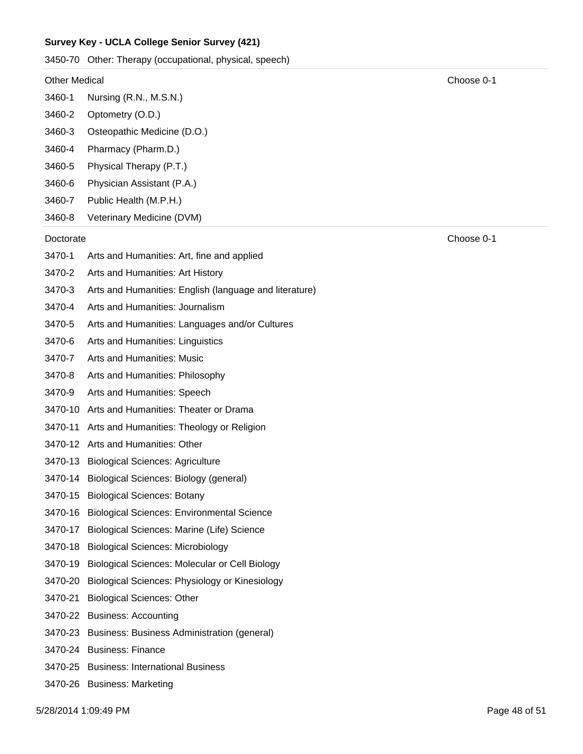3450-70 Other: Therapy (occupational, physical, speech)

#### Other Medical Choose 0-1

- 3460-1 Nursing (R.N., M.S.N.)
- 3460-2 Optometry (O.D.)
- 3460-3 Osteopathic Medicine (D.O.)
- 3460-4 Pharmacy (Pharm.D.)
- 3460-5 Physical Therapy (P.T.)
- 3460-6 Physician Assistant (P.A.)
- 3460-7 Public Health (M.P.H.)
- 3460-8 Veterinary Medicine (DVM)

#### Doctorate Choose 0-1

- 3470-1 Arts and Humanities: Art, fine and applied
- 3470-2 Arts and Humanities: Art History
- 3470-3 Arts and Humanities: English (language and literature)
- 3470-4 Arts and Humanities: Journalism
- 3470-5 Arts and Humanities: Languages and/or Cultures
- 3470-6 Arts and Humanities: Linguistics
- 3470-7 Arts and Humanities: Music
- 3470-8 Arts and Humanities: Philosophy
- 3470-9 Arts and Humanities: Speech
- 3470-10 Arts and Humanities: Theater or Drama
- 3470-11 Arts and Humanities: Theology or Religion
- 3470-12 Arts and Humanities: Other
- 3470-13 Biological Sciences: Agriculture
- 3470-14 Biological Sciences: Biology (general)
- 3470-15 Biological Sciences: Botany
- 3470-16 Biological Sciences: Environmental Science
- 3470-17 Biological Sciences: Marine (Life) Science
- 3470-18 Biological Sciences: Microbiology
- 3470-19 Biological Sciences: Molecular or Cell Biology
- 3470-20 Biological Sciences: Physiology or Kinesiology
- 3470-21 Biological Sciences: Other
- 3470-22 Business: Accounting
- 3470-23 Business: Business Administration (general)
- 3470-24 Business: Finance
- 3470-25 Business: International Business
- 3470-26 Business: Marketing

5/28/2014 1:09:49 PM Page 48 of 51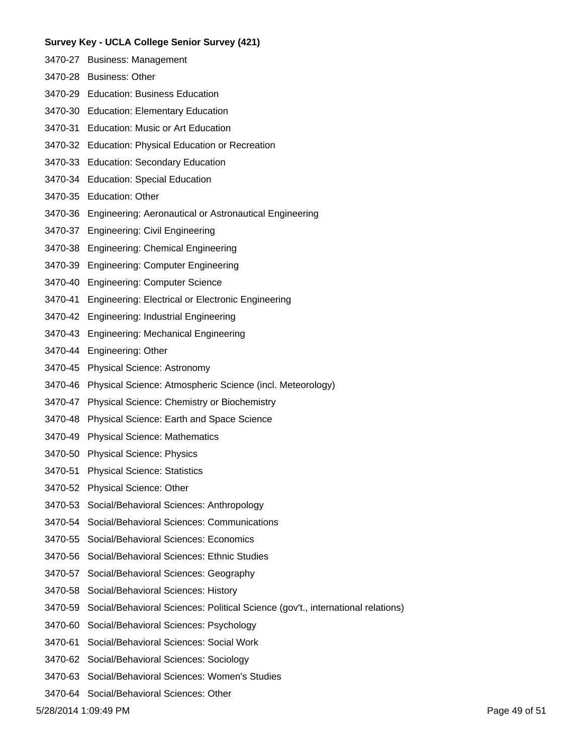- 3470-27 Business: Management
- 3470-28 Business: Other
- 3470-29 Education: Business Education
- 3470-30 Education: Elementary Education
- 3470-31 Education: Music or Art Education
- 3470-32 Education: Physical Education or Recreation
- 3470-33 Education: Secondary Education
- 3470-34 Education: Special Education
- 3470-35 Education: Other
- 3470-36 Engineering: Aeronautical or Astronautical Engineering
- 3470-37 Engineering: Civil Engineering
- 3470-38 Engineering: Chemical Engineering
- 3470-39 Engineering: Computer Engineering
- 3470-40 Engineering: Computer Science
- 3470-41 Engineering: Electrical or Electronic Engineering
- 3470-42 Engineering: Industrial Engineering
- 3470-43 Engineering: Mechanical Engineering
- 3470-44 Engineering: Other
- 3470-45 Physical Science: Astronomy
- 3470-46 Physical Science: Atmospheric Science (incl. Meteorology)
- 3470-47 Physical Science: Chemistry or Biochemistry
- 3470-48 Physical Science: Earth and Space Science
- 3470-49 Physical Science: Mathematics
- 3470-50 Physical Science: Physics
- 3470-51 Physical Science: Statistics
- 3470-52 Physical Science: Other
- 3470-53 Social/Behavioral Sciences: Anthropology
- 3470-54 Social/Behavioral Sciences: Communications
- 3470-55 Social/Behavioral Sciences: Economics
- 3470-56 Social/Behavioral Sciences: Ethnic Studies
- 3470-57 Social/Behavioral Sciences: Geography
- 3470-58 Social/Behavioral Sciences: History
- 3470-59 Social/Behavioral Sciences: Political Science (gov't., international relations)
- 3470-60 Social/Behavioral Sciences: Psychology
- 3470-61 Social/Behavioral Sciences: Social Work
- 3470-62 Social/Behavioral Sciences: Sociology
- 3470-63 Social/Behavioral Sciences: Women's Studies
- 3470-64 Social/Behavioral Sciences: Other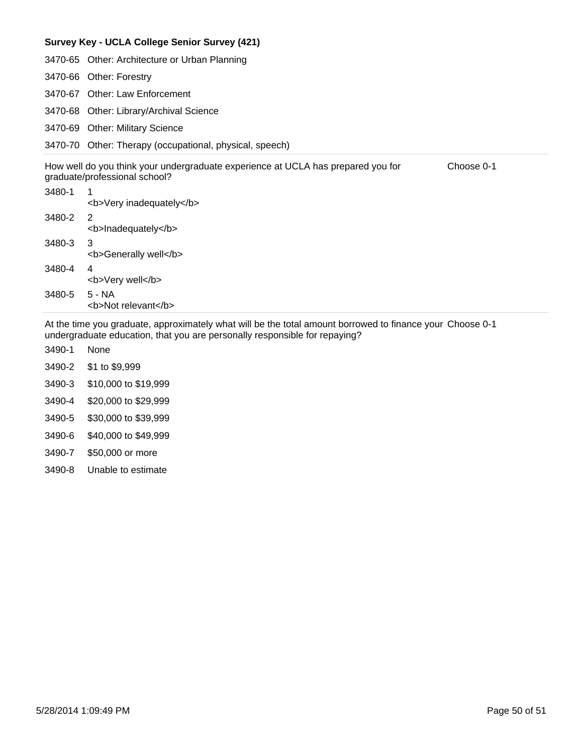|        | 3470-65 Other: Architecture or Urban Planning                                                                                   |
|--------|---------------------------------------------------------------------------------------------------------------------------------|
|        | 3470-66 Other: Forestry                                                                                                         |
|        | 3470-67 Other: Law Enforcement                                                                                                  |
|        | 3470-68 Other: Library/Archival Science                                                                                         |
|        | 3470-69 Other: Military Science                                                                                                 |
|        | 3470-70 Other: Therapy (occupational, physical, speech)                                                                         |
|        | How well do you think your undergraduate experience at UCLA has prepared you for<br>Choose 0-1<br>graduate/professional school? |
| 3480-1 | <b>Very inadequately</b>                                                                                                        |
| 3480-2 | 2<br><b>Inadequately</b>                                                                                                        |
| 3480-3 | 3<br><b>Generally well</b>                                                                                                      |
| 3480-4 | 4<br><b>Very well</b>                                                                                                           |
| 3480-5 | 5 - NA                                                                                                                          |

At the time you graduate, approximately what will be the total amount borrowed to finance your Choose 0-1 undergraduate education, that you are personally responsible for repaying?

- 3490-2 \$1 to \$9,999 3490-1 None
- 3490-3 \$10,000 to \$19,999
- 3490-4 \$20,000 to \$29,999

<b>Not relevant</b>

- 3490-5 \$30,000 to \$39,999
- 3490-6 \$40,000 to \$49,999
- 3490-7 \$50,000 or more
- 3490-8 Unable to estimate